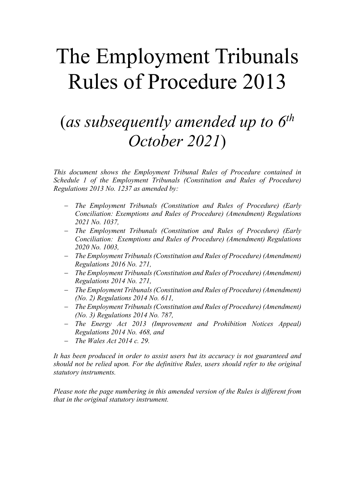# The Employment Tribunals Rules of Procedure 2013

## (*as subsequently amended up to 6th October 2021*)

*This document shows the Employment Tribunal Rules of Procedure contained in Schedule 1 of the Employment Tribunals (Constitution and Rules of Procedure) Regulations 2013 No. 1237 as amended by:*

- − *The Employment Tribunals (Constitution and Rules of Procedure) (Early Conciliation: Exemptions and Rules of Procedure) (Amendment) Regulations 2021 No. 1037,*
- − *The Employment Tribunals (Constitution and Rules of Procedure) (Early Conciliation: Exemptions and Rules of Procedure) (Amendment) Regulations 2020 No. 1003,*
- − *The Employment Tribunals (Constitution and Rules of Procedure) (Amendment) Regulations 2016 No. 271,*
- − *The Employment Tribunals (Constitution and Rules of Procedure) (Amendment) Regulations 2014 No. 271,*
- − *The Employment Tribunals (Constitution and Rules of Procedure) (Amendment) (No. 2) Regulations 2014 No. 611,*
- − *The Employment Tribunals (Constitution and Rules of Procedure) (Amendment) (No. 3) Regulations 2014 No. 787,*
- − *The Energy Act 2013 (Improvement and Prohibition Notices Appeal) Regulations 2014 No. 468, and*
- − *The Wales Act 2014 c. 29.*

*It has been produced in order to assist users but its accuracy is not guaranteed and should not be relied upon. For the definitive Rules, users should refer to the original statutory instruments.*

*Please note the page numbering in this amended version of the Rules is different from that in the original statutory instrument.*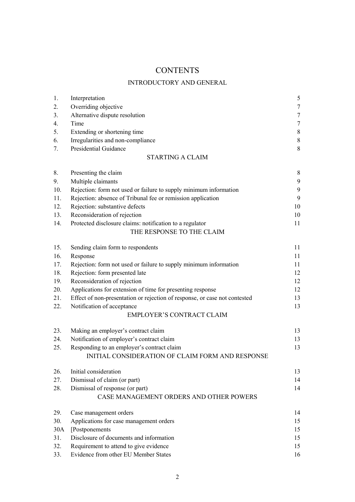### **CONTENTS**

#### INTRODUCTORY AND GENERAL

| 1.  |                                                                            |        |
|-----|----------------------------------------------------------------------------|--------|
|     | Interpretation                                                             | 5      |
| 2.  | Overriding objective                                                       | $\tau$ |
| 3.  | Alternative dispute resolution                                             | $\tau$ |
| 4.  | Time                                                                       | $\tau$ |
| 5.  | Extending or shortening time                                               | $8\,$  |
| 6.  | Irregularities and non-compliance                                          | $8\,$  |
| 7.  | Presidential Guidance                                                      | $8\,$  |
|     | <b>STARTING A CLAIM</b>                                                    |        |
| 8.  | Presenting the claim                                                       | $8\,$  |
| 9.  | Multiple claimants                                                         | 9      |
| 10. | Rejection: form not used or failure to supply minimum information          | 9      |
| 11. | Rejection: absence of Tribunal fee or remission application                | 9      |
| 12. | Rejection: substantive defects                                             | 10     |
| 13. | Reconsideration of rejection                                               | 10     |
| 14. | Protected disclosure claims: notification to a regulator                   | 11     |
|     | THE RESPONSE TO THE CLAIM                                                  |        |
| 15. | Sending claim form to respondents                                          | 11     |
| 16. | Response                                                                   | 11     |
| 17. | Rejection: form not used or failure to supply minimum information          | 11     |
| 18. | Rejection: form presented late                                             | 12     |
| 19. | Reconsideration of rejection                                               | 12     |
| 20. | Applications for extension of time for presenting response                 | 12     |
| 21. | Effect of non-presentation or rejection of response, or case not contested | 13     |
| 22. | Notification of acceptance                                                 | 13     |
|     | <b>EMPLOYER'S CONTRACT CLAIM</b>                                           |        |
|     |                                                                            |        |
| 23. | Making an employer's contract claim                                        | 13     |
| 24. | Notification of employer's contract claim                                  | 13     |
| 25. | Responding to an employer's contract claim                                 | 13     |
|     | INITIAL CONSIDERATION OF CLAIM FORM AND RESPONSE                           |        |
| 26. | Initial consideration                                                      | 13     |
| 27. | Dismissal of claim (or part)                                               | 14     |
| 28. | Dismissal of response (or part)                                            | 14     |
|     | CASE MANAGEMENT ORDERS AND OTHER POWERS                                    |        |
| 29. | Case management orders                                                     | 14     |
| 30. | Applications for case management orders                                    | 15     |
| 30A | [Postponements]                                                            | 15     |
| 31. | Disclosure of documents and information                                    | 15     |
| 32. | Requirement to attend to give evidence                                     | 15     |
| 33. | Evidence from other EU Member States                                       | 16     |
|     |                                                                            |        |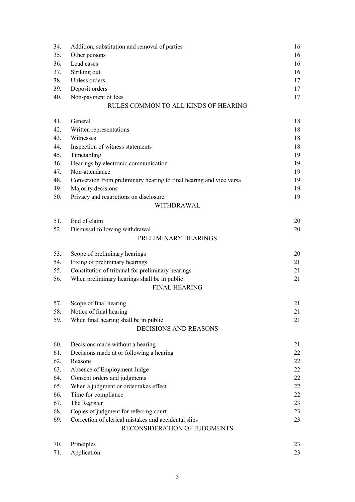| 34. | Addition, substitution and removal of parties                       | 16 |
|-----|---------------------------------------------------------------------|----|
| 35. | Other persons                                                       | 16 |
| 36. | Lead cases                                                          | 16 |
| 37. | Striking out                                                        | 16 |
| 38. | Unless orders                                                       | 17 |
| 39. | Deposit orders                                                      | 17 |
| 40. | Non-payment of fees                                                 | 17 |
|     | RULES COMMON TO ALL KINDS OF HEARING                                |    |
| 41. | General                                                             | 18 |
| 42. | Written representations                                             | 18 |
| 43. | Witnesses                                                           | 18 |
| 44. | Inspection of witness statements                                    | 18 |
| 45. | Timetabling                                                         | 19 |
| 46. | Hearings by electronic communication                                | 19 |
| 47. | Non-attendance                                                      | 19 |
| 48. | Conversion from preliminary hearing to final hearing and vice versa | 19 |
| 49. | Majority decisions                                                  | 19 |
| 50. | Privacy and restrictions on disclosure                              | 19 |
|     | <b>WITHDRAWAL</b>                                                   |    |
| 51. | End of claim                                                        | 20 |
| 52. | Dismissal following withdrawal                                      | 20 |
|     | PRELIMINARY HEARINGS                                                |    |
| 53. | Scope of preliminary hearings                                       | 20 |
| 54. | Fixing of preliminary hearings                                      | 21 |
| 55. | Constitution of tribunal for preliminary hearings                   | 21 |
| 56. | When preliminary hearings shall be in public                        | 21 |
|     | <b>FINAL HEARING</b>                                                |    |
| 57. | Scope of final hearing                                              | 21 |
| 58. | Notice of final hearing                                             | 21 |
| 59. | When final hearing shall be in public                               | 21 |
|     | <b>DECISIONS AND REASONS</b>                                        |    |
| 60. | Decisions made without a hearing                                    | 21 |
| 61. | Decisions made at or following a hearing                            | 22 |
| 62. | Reasons                                                             | 22 |
| 63. | Absence of Employment Judge                                         | 22 |
| 64. | Consent orders and judgments                                        | 22 |
| 65. | When a judgment or order takes effect                               | 22 |
| 66. | Time for compliance                                                 | 22 |
| 67. | The Register                                                        | 23 |
| 68. | Copies of judgment for referring court                              | 23 |
| 69. | Correction of clerical mistakes and accidental slips                | 23 |
|     | RECONSIDERATION OF JUDGMENTS                                        |    |
| 70. | Principles                                                          | 23 |
| 71. | Application                                                         | 23 |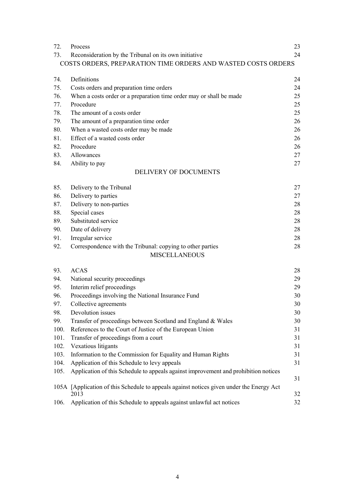| 72.  | Process                                                                                  | 23 |
|------|------------------------------------------------------------------------------------------|----|
| 73.  | Reconsideration by the Tribunal on its own initiative                                    | 24 |
|      | COSTS ORDERS, PREPARATION TIME ORDERS AND WASTED COSTS ORDERS                            |    |
| 74.  | Definitions                                                                              | 24 |
| 75.  | Costs orders and preparation time orders                                                 | 24 |
| 76.  | When a costs order or a preparation time order may or shall be made                      | 25 |
| 77.  | Procedure                                                                                | 25 |
| 78.  | The amount of a costs order                                                              | 25 |
| 79.  | The amount of a preparation time order                                                   | 26 |
| 80.  | When a wasted costs order may be made                                                    | 26 |
| 81.  | Effect of a wasted costs order                                                           | 26 |
| 82.  | Procedure                                                                                | 26 |
| 83.  | Allowances                                                                               | 27 |
| 84.  | Ability to pay                                                                           | 27 |
|      | DELIVERY OF DOCUMENTS                                                                    |    |
| 85.  | Delivery to the Tribunal                                                                 | 27 |
| 86.  | Delivery to parties                                                                      | 27 |
| 87.  | Delivery to non-parties                                                                  | 28 |
| 88.  | Special cases                                                                            | 28 |
| 89.  | Substituted service                                                                      | 28 |
| 90.  | Date of delivery                                                                         | 28 |
| 91.  | Irregular service                                                                        | 28 |
| 92.  | Correspondence with the Tribunal: copying to other parties                               | 28 |
|      | <b>MISCELLANEOUS</b>                                                                     |    |
| 93.  | <b>ACAS</b>                                                                              | 28 |
| 94.  | National security proceedings                                                            | 29 |
| 95.  | Interim relief proceedings                                                               | 29 |
| 96.  | Proceedings involving the National Insurance Fund                                        | 30 |
| 97.  | Collective agreements                                                                    | 30 |
| 98.  | Devolution issues                                                                        | 30 |
| 99.  | Transfer of proceedings between Scotland and England & Wales                             | 30 |
| 100. | References to the Court of Justice of the European Union                                 | 31 |
| 101. | Transfer of proceedings from a court                                                     | 31 |
| 102. | Vexatious litigants                                                                      | 31 |
| 103. | Information to the Commission for Equality and Human Rights                              | 31 |
| 104. | Application of this Schedule to levy appeals                                             | 31 |
| 105. | Application of this Schedule to appeals against improvement and prohibition notices      | 31 |
|      | 105A [Application of this Schedule to appeals against notices given under the Energy Act |    |
|      | 2013                                                                                     | 32 |
| 106. | Application of this Schedule to appeals against unlawful act notices                     | 32 |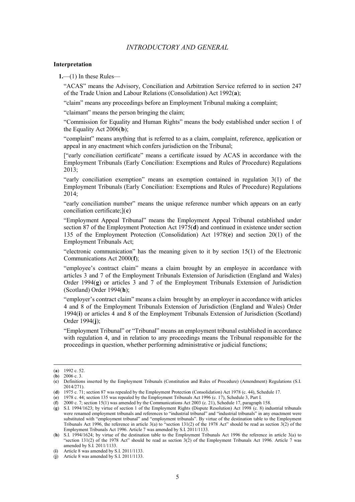#### *INTRODUCTORY AND GENERAL*

#### <span id="page-4-0"></span>**Interpretation**

**1.**—(1) In these Rules—

"ACAS" means the Advisory, Conciliation and Arbitration Service referred to in section 247 of the Trade Union and Labour Relations (Consolidation) Act 1992(**[a](#page-4-1)**);

"claim" means any proceedings before an Employment Tribunal making a complaint;

"claimant" means the person bringing the claim;

"Commission for Equality and Human Rights" means the body established under section 1 of the Equality Act 2006(**[b](#page-4-2)**);

"complaint" means anything that is referred to as a claim, complaint, reference, application or appeal in any enactment which confers jurisdiction on the Tribunal;

["early conciliation certificate" means a certificate issued by ACAS in accordance with the Employment Tribunals (Early Conciliation: Exemptions and Rules of Procedure) Regulations 2013;

"early conciliation exemption" means an exemption contained in regulation 3(1) of the Employment Tribunals (Early Conciliation: Exemptions and Rules of Procedure) Regulations 2014;

"early conciliation number" means the unique reference number which appears on an early conciliation certificate;](**[c](#page-4-3)**)

"Employment Appeal Tribunal" means the Employment Appeal Tribunal established under section 87 of the Employment Protection Act 1975(**[d](#page-4-4)**) and continued in existence under section 135 of the Employment Protection (Consolidation) Act 1978(**[e](#page-4-5)**) and section 20(1) of the Employment Tribunals Act;

"electronic communication" has the meaning given to it by section 15(1) of the Electronic Communications Act 2000(**[f](#page-4-6)**);

"employee's contract claim" means a claim brought by an employee in accordance with articles 3 and 7 of the Employment Tribunals Extension of Jurisdiction (England and Wales) Order 1994(**[g](#page-4-7)**) or articles 3 and 7 of the Employment Tribunals Extension of Jurisdiction (Scotland) Order 1994(**[h](#page-4-8)**);

"employer's contract claim" means a claim brought by an employer in accordance with articles 4 and 8 of the Employment Tribunals Extension of Jurisdiction (England and Wales) Order 1994(**[i](#page-4-9)**) or articles 4 and 8 of the Employment Tribunals Extension of Jurisdiction (Scotland) Order 1994(**[j](#page-4-10)**);

"Employment Tribunal" or "Tribunal" means an employment tribunal established in accordance with regulation 4, and in relation to any proceedings means the Tribunal responsible for the proceedings in question, whether performing administrative or judicial functions;

<span id="page-4-1"></span><sup>(</sup>**a**) 1992 c. 52.

<span id="page-4-2"></span><sup>(</sup>**b**) 2006 c. 3.

<span id="page-4-3"></span><sup>(</sup>**c**) Definitions inserted by the Employment Tribunals (Constitution and Rules of Procedure) (Amendment) Regulations (S.I. 2014/271).

<span id="page-4-4"></span><sup>(</sup>**d**) 1975 c. 71; section 87 was repealed by the Employment Protection (Consolidation) Act 1978 (c. 44), Schedule 17.

<span id="page-4-5"></span><sup>(</sup>**e**) 1978 c. 44; section 135 was repealed by the Employment Tribunals Act 1996 (c. 17), Schedule 3, Part I.

<span id="page-4-6"></span><sup>(</sup>**f**) 2000 c. 7; section 15(1) was amended by the Communications Act 2003 (c. 21), Schedule 17, paragraph 158.

<span id="page-4-7"></span><sup>(</sup>**g**) S.I. 1994/1623; by virtue of section 1 of the Employment Rights (Dispute Resolution) Act 1998 (c. 8) industrial tribunals were renamed employment tribunals and references to "industrial tribunal" and "industrial tribunals" in any enactment were substituted with "employment tribunal" and "employment tribunals". By virtue of the destination table to the Employment Tribunals Act 1996, the reference in article 3(a) to "section 131(2) of the 1978 Act" should be read as section 3(2) of the Employment Tribunals Act 1996. Article 7 was amended by S.I. 2011/1133.

<span id="page-4-8"></span><sup>(</sup>**h**) S.I. 1994/1624; by virtue of the destination table to the Employment Tribunals Act 1996 the reference in article 3(a) to "section 131(2) of the 1978 Act" should be read as section  $3(2)$  of the Employment Tribunals Act 1996. Article 7 was amended by S.I. 2011/1133.

<span id="page-4-9"></span><sup>(</sup>**i**) Article 8 was amended by S.I. 2011/1133.

<span id="page-4-10"></span><sup>(</sup>**j**) Article 8 was amended by S.I. 2011/1133.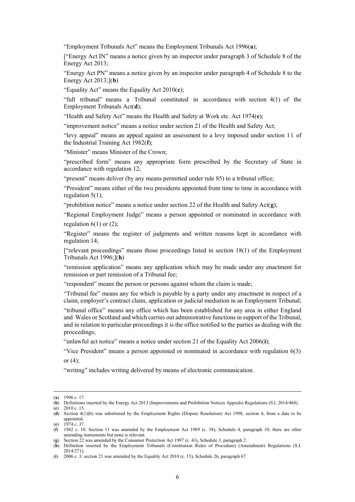"Employment Tribunals Act" means the Employment Tribunals Act 1996(**[a](#page-5-0)**);

["Energy Act IN" means a notice given by an inspector under paragraph 3 of Schedule 8 of the Energy Act 2013;

"Energy Act PN" means a notice given by an inspector under paragraph 4 of Schedule 8 to the Energy Act 2013;](**[b](#page-5-1)**)

"Equality Act" means the Equality Act 2010(**[c](#page-5-2)**);

"full tribunal" means a Tribunal constituted in accordance with section 4(1) of the Employment Tribunals Act(**[d](#page-5-3)**);

"Health and Safety Act" means the Health and Safety at Work etc. Act 1974(**[e](#page-5-4)**);

"improvement notice" means a notice under section 21 of the Health and Safety Act;

"levy appeal" means an appeal against an assessment to a levy imposed under section 11 of the Industrial Training Act 1982(**[f](#page-5-5)**);

"Minister" means Minister of the Crown;

"prescribed form" means any appropriate form prescribed by the Secretary of State in accordance with regulation 12;

"present" means deliver (by any means permitted under rule 85) to a tribunal office;

"President" means either of the two presidents appointed from time to time in accordance with regulation 5(1);

"prohibition notice" means a notice under section 22 of the Health and Safety Act(**[g](#page-5-6)**);

"Regional Employment Judge" means a person appointed or nominated in accordance with regulation  $6(1)$  or  $(2)$ ;

"Register" means the register of judgments and written reasons kept in accordance with regulation 14;

["relevant proceedings" means those proceedings listed in section 18(1) of the Employment Tribunals Act 1996;](**[h](#page-5-7)**)

"remission application" means any application which may be made under any enactment for remission or part remission of a Tribunal fee;

"respondent" means the person or persons against whom the claim is made;

"Tribunal fee" means any fee which is payable by a party under any enactment in respect of a claim, employer's contract claim, application or judicial mediation in an Employment Tribunal;

"tribunal office" means any office which has been established for any area in either England and Wales or Scotland and which carries out administrative functions in support of the Tribunal, and in relation to particular proceedings it is the office notified to the parties as dealing with the proceedings;

"unlawful act notice" means a notice under section 21 of the Equality Act 2006(**[i](#page-5-8)**);

"Vice President" means a person appointed or nominated in accordance with regulation 6(3)

or  $(4)$ ;

"writing" includes writing delivered by means of electronic communication.

<span id="page-5-1"></span><span id="page-5-0"></span><sup>(</sup>**a**) 1996 c. 17.

<sup>(</sup>**b**) Definitions inserted by the Energy Act 2013 (Improvements and Prohibition Notices Appeals) Regulations (S.I. 2014/468).

<sup>(</sup>**c**) 2010 c. 15.

<span id="page-5-3"></span><span id="page-5-2"></span><sup>(</sup>**d**) Section 4(1)(b) was substituted by the Employment Rights (Dispute Resolution) Act 1998, section 4, from a date to be appointed. (**e**) 1974 c. 37.

<span id="page-5-5"></span><span id="page-5-4"></span><sup>(</sup>**f**) 1982 c. 10. Section 11 was amended by the Employment Act 1989 (c. 38), Schedule 4, paragraph 10; there are other amending instruments but none is relevant. (**g**) Section 22 was amended by the Consumer Protection Act 1987 (c. 43), Schedule 3, paragraph 2.

<span id="page-5-7"></span><span id="page-5-6"></span><sup>(</sup>**h**) Definition inserted by the Employment Tribunals (Constitution Rules of Procedure) (Amendment) Regulations (S.I. 2014/271).

<span id="page-5-8"></span><sup>(</sup>**i**) 2006 c. 3; section 21 was amended by the Equality Act 2010 (c. 15), Schedule 26, paragraph 67.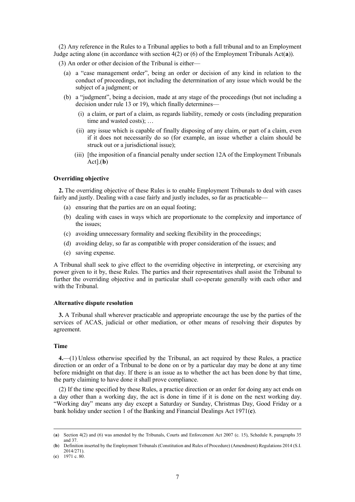(2) Any reference in the Rules to a Tribunal applies to both a full tribunal and to an Employment Judge acting alone (in accordance with section 4(2) or (6) of the Employment Tribunals Act(**[a](#page-6-3)**)).

(3) An order or other decision of the Tribunal is either—

- (a) a "case management order", being an order or decision of any kind in relation to the conduct of proceedings, not including the determination of any issue which would be the subject of a judgment; or
- (b) a "judgment", being a decision, made at any stage of the proceedings (but not including a decision under rule 13 or 19), which finally determines—
	- (i) a claim, or part of a claim, as regards liability, remedy or costs (including preparation time and wasted costs); …
	- (ii) any issue which is capable of finally disposing of any claim, or part of a claim, even if it does not necessarily do so (for example, an issue whether a claim should be struck out or a jurisdictional issue);
	- (iii) [the imposition of a financial penalty under section 12A of the Employment Tribunals Act].(**[b](#page-6-4)**)

#### <span id="page-6-0"></span>**Overriding objective**

**2.** The overriding objective of these Rules is to enable Employment Tribunals to deal with cases fairly and justly. Dealing with a case fairly and justly includes, so far as practicable—

- (a) ensuring that the parties are on an equal footing;
- (b) dealing with cases in ways which are proportionate to the complexity and importance of the issues;
- (c) avoiding unnecessary formality and seeking flexibility in the proceedings;
- (d) avoiding delay, so far as compatible with proper consideration of the issues; and
- (e) saving expense.

A Tribunal shall seek to give effect to the overriding objective in interpreting, or exercising any power given to it by, these Rules. The parties and their representatives shall assist the Tribunal to further the overriding objective and in particular shall co-operate generally with each other and with the Tribunal.

#### <span id="page-6-1"></span>**Alternative dispute resolution**

**3.** A Tribunal shall wherever practicable and appropriate encourage the use by the parties of the services of ACAS, judicial or other mediation, or other means of resolving their disputes by agreement.

#### <span id="page-6-2"></span>**Time**

**4.**—(1) Unless otherwise specified by the Tribunal, an act required by these Rules, a practice direction or an order of a Tribunal to be done on or by a particular day may be done at any time before midnight on that day. If there is an issue as to whether the act has been done by that time, the party claiming to have done it shall prove compliance.

(2) If the time specified by these Rules, a practice direction or an order for doing any act ends on a day other than a working day, the act is done in time if it is done on the next working day. "Working day" means any day except a Saturday or Sunday, Christmas Day, Good Friday or a bank holiday under section 1 of the Banking and Financial Dealings Act 1971(**[c](#page-6-5)**).

<span id="page-6-3"></span><sup>(</sup>**a**) Section 4(2) and (6) was amended by the Tribunals, Courts and Enforcement Act 2007 (c. 15), Schedule 8, paragraphs 35 and 37.

<span id="page-6-4"></span><sup>(</sup>**b**) Definition inserted by the Employment Tribunals (Constitution and Rules of Procedure) (Amendment) Regulations 2014 (S.I. 2014/271).

<span id="page-6-5"></span><sup>(</sup>**c**) 1971 c. 80.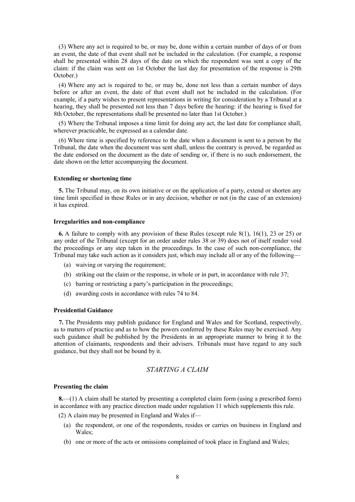(3) Where any act is required to be, or may be, done within a certain number of days of or from an event, the date of that event shall not be included in the calculation. (For example, a response shall be presented within 28 days of the date on which the respondent was sent a copy of the claim: if the claim was sent on 1st October the last day for presentation of the response is 29th October.)

(4) Where any act is required to be, or may be, done not less than a certain number of days before or after an event, the date of that event shall not be included in the calculation. (For example, if a party wishes to present representations in writing for consideration by a Tribunal at a hearing, they shall be presented not less than 7 days before the hearing: if the hearing is fixed for 8th October, the representations shall be presented no later than 1st October.)

(5) Where the Tribunal imposes a time limit for doing any act, the last date for compliance shall, wherever practicable, be expressed as a calendar date.

(6) Where time is specified by reference to the date when a document is sent to a person by the Tribunal, the date when the document was sent shall, unless the contrary is proved, be regarded as the date endorsed on the document as the date of sending or, if there is no such endorsement, the date shown on the letter accompanying the document.

#### <span id="page-7-0"></span>**Extending or shortening time**

**5.** The Tribunal may, on its own initiative or on the application of a party, extend or shorten any time limit specified in these Rules or in any decision, whether or not (in the case of an extension) it has expired.

#### <span id="page-7-1"></span>**Irregularities and non-compliance**

**6.** A failure to comply with any provision of these Rules (except rule 8(1), 16(1), 23 or 25) or any order of the Tribunal (except for an order under rules 38 or 39) does not of itself render void the proceedings or any step taken in the proceedings. In the case of such non-compliance, the Tribunal may take such action as it considers just, which may include all or any of the following—

- (a) waiving or varying the requirement;
- (b) striking out the claim or the response, in whole or in part, in accordance with rule 37;
- (c) barring or restricting a party's participation in the proceedings;
- (d) awarding costs in accordance with rules 74 to 84.

#### <span id="page-7-2"></span>**Presidential Guidance**

**7.** The Presidents may publish guidance for England and Wales and for Scotland, respectively, as to matters of practice and as to how the powers conferred by these Rules may be exercised. Any such guidance shall be published by the Presidents in an appropriate manner to bring it to the attention of claimants, respondents and their advisers. Tribunals must have regard to any such guidance, but they shall not be bound by it.

#### *STARTING A CLAIM*

#### <span id="page-7-3"></span>**Presenting the claim**

**8.**—(1) A claim shall be started by presenting a completed claim form (using a prescribed form) in accordance with any practice direction made under regulation 11 which supplements this rule.

(2) A claim may be presented in England and Wales if—

- (a) the respondent, or one of the respondents, resides or carries on business in England and Wales;
- (b) one or more of the acts or omissions complained of took place in England and Wales;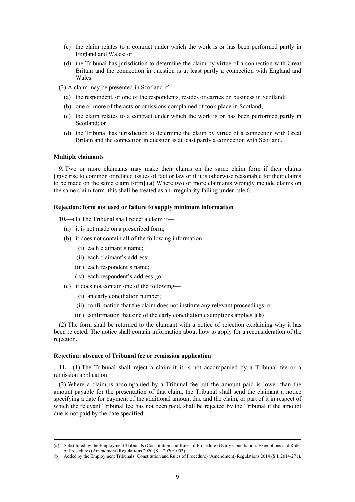- (c) the claim relates to a contract under which the work is or has been performed partly in England and Wales; or
- (d) the Tribunal has jurisdiction to determine the claim by virtue of a connection with Great Britain and the connection in question is at least partly a connection with England and Wales.
- (3) A claim may be presented in Scotland if—
	- (a) the respondent, or one of the respondents, resides or carries on business in Scotland;
	- (b) one or more of the acts or omissions complained of took place in Scotland;
	- (c) the claim relates to a contract under which the work is or has been performed partly in Scotland; or
	- (d) the Tribunal has jurisdiction to determine the claim by virtue of a connection with Great Britain and the connection in question is at least partly a connection with Scotland.

#### <span id="page-8-0"></span>**Multiple claimants**

**9.** Two or more claimants may make their claims on the same claim form if their claims [ give rise to common or related issues of fact or law or if it is otherwise reasonable for their claims to be made on the same claim form].(**[a](#page-8-3)**) Where two or more claimants wrongly include claims on the same claim form, this shall be treated as an irregularity falling under rule 6.

#### <span id="page-8-1"></span>**Rejection: form not used or failure to supply minimum information**

**10.**—(1) The Tribunal shall reject a claim if—

- (a) it is not made on a prescribed form;
- (b) it does not contain all of the following information—
	- (i) each claimant's name;
	- (ii) each claimant's address;
	- (iii) each respondent's name;
	- (iv) each respondent's address [;or
- (c) it does not contain one of the following—
	- (i) an early conciliation number;
	- (ii) confirmation that the claim does not institute any relevant proceedings; or
	- (iii) confirmation that one of the early conciliation exemptions applies.](**[b](#page-8-4)**)

(2) The form shall be returned to the claimant with a notice of rejection explaining why it has been rejected. The notice shall contain information about how to apply for a reconsideration of the rejection.

#### <span id="page-8-2"></span>**Rejection: absence of Tribunal fee or remission application**

**11.**—(1) The Tribunal shall reject a claim if it is not accompanied by a Tribunal fee or a remission application.

(2) Where a claim is accompanied by a Tribunal fee but the amount paid is lower than the amount payable for the presentation of that claim, the Tribunal shall send the claimant a notice specifying a date for payment of the additional amount due and the claim, or part of it in respect of which the relevant Tribunal fee has not been paid, shall be rejected by the Tribunal if the amount due is not paid by the date specified.

<span id="page-8-3"></span><sup>(</sup>**a**) Substituted by the Employment Tribunals (Constitution and Rules of Procedure) (Early Conciliation: Exemptions and Rules of Procedure) (Amendment) Regulations 2020 (S.I. 2020/1003).

<span id="page-8-4"></span><sup>(</sup>**b**) Added by the Employment Tribunals (Constitution and Rules of Procedure) (Amendment) Regulations 2014 (S.I. 2014/271).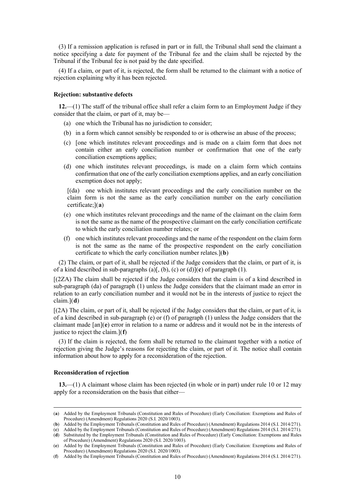(3) If a remission application is refused in part or in full, the Tribunal shall send the claimant a notice specifying a date for payment of the Tribunal fee and the claim shall be rejected by the Tribunal if the Tribunal fee is not paid by the date specified.

(4) If a claim, or part of it, is rejected, the form shall be returned to the claimant with a notice of rejection explaining why it has been rejected.

#### <span id="page-9-0"></span>**Rejection: substantive defects**

**12.**—(1) The staff of the tribunal office shall refer a claim form to an Employment Judge if they consider that the claim, or part of it, may be—

- (a) one which the Tribunal has no jurisdiction to consider;
- (b) in a form which cannot sensibly be responded to or is otherwise an abuse of the process;
- (c) [one which institutes relevant proceedings and is made on a claim form that does not contain either an early conciliation number or confirmation that one of the early conciliation exemptions applies;
- (d) one which institutes relevant proceedings, is made on a claim form which contains confirmation that one of the early conciliation exemptions applies, and an early conciliation exemption does not apply;

[(da) one which institutes relevant proceedings and the early conciliation number on the claim form is not the same as the early conciliation number on the early conciliation certificate;](**[a](#page-9-2)**)

- (e) one which institutes relevant proceedings and the name of the claimant on the claim form is not the same as the name of the prospective claimant on the early conciliation certificate to which the early conciliation number relates; or
- (f) one which institutes relevant proceedings and the name of the respondent on the claim form is not the same as the name of the prospective respondent on the early conciliation certificate to which the early conciliation number relates.](**[b](#page-9-3)**)

(2) The claim, or part of it, shall be rejected if the Judge considers that the claim, or part of it, is of a kind described in sub-paragraphs (a)[, (b), (c) or (d)](**[c](#page-9-4)**) of paragraph (1).

[(2ZA) The claim shall be rejected if the Judge considers that the claim is of a kind described in sub-paragraph (da) of paragraph (1) unless the Judge considers that the claimant made an error in relation to an early conciliation number and it would not be in the interests of justice to reject the claim.](**[d](#page-9-5)**)

[(2A) The claim, or part of it, shall be rejected if the Judge considers that the claim, or part of it, is of a kind described in sub-paragraph (e) or (f) of paragraph (1) unless the Judge considers that the claimant made [an](**[e](#page-9-6)**) error in relation to a name or address and it would not be in the interests of justice to reject the claim.](**[f](#page-9-7)**)

(3) If the claim is rejected, the form shall be returned to the claimant together with a notice of rejection giving the Judge's reasons for rejecting the claim, or part of it. The notice shall contain information about how to apply for a reconsideration of the rejection.

#### <span id="page-9-1"></span>**Reconsideration of rejection**

**13.**—(1) A claimant whose claim has been rejected (in whole or in part) under rule 10 or 12 may apply for a reconsideration on the basis that either—

<span id="page-9-2"></span><sup>(</sup>**a**) Added by the Employment Tribunals (Constitution and Rules of Procedure) (Early Conciliation: Exemptions and Rules of Procedure) (Amendment) Regulations 2020 (S.I. 2020/1003).

<span id="page-9-3"></span><sup>(</sup>**b**) Added by the Employment Tribunals (Constitution and Rules of Procedure) (Amendment) Regulations 2014 (S.I. 2014/271).

<span id="page-9-4"></span><sup>(</sup>**c**) Added by the Employment Tribunals (Constitution and Rules of Procedure) (Amendment) Regulations 2014 (S.I. 2014/271). (**d**) Substituted by the Employment Tribunals (Constitution and Rules of Procedure) (Early Conciliation: Exemptions and Rules

<span id="page-9-6"></span><span id="page-9-5"></span>of Procedure) (Amendment) Regulations 2020 (S.I. 2020/1003). (**e**) Added by the Employment Tribunals (Constitution and Rules of Procedure) (Early Conciliation: Exemptions and Rules of

Procedure) (Amendment) Regulations 2020 (S.I. 2020/1003).

<span id="page-9-7"></span><sup>(</sup>**f**) Added by the Employment Tribunals (Constitution and Rules of Procedure) (Amendment) Regulations 2014 (S.I. 2014/271).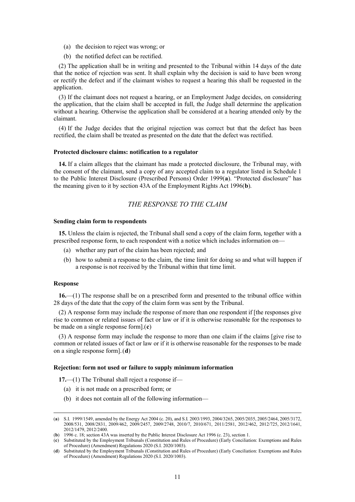- (a) the decision to reject was wrong; or
- (b) the notified defect can be rectified.

(2) The application shall be in writing and presented to the Tribunal within 14 days of the date that the notice of rejection was sent. It shall explain why the decision is said to have been wrong or rectify the defect and if the claimant wishes to request a hearing this shall be requested in the application.

(3) If the claimant does not request a hearing, or an Employment Judge decides, on considering the application, that the claim shall be accepted in full, the Judge shall determine the application without a hearing. Otherwise the application shall be considered at a hearing attended only by the claimant.

(4) If the Judge decides that the original rejection was correct but that the defect has been rectified, the claim shall be treated as presented on the date that the defect was rectified.

#### <span id="page-10-0"></span>**Protected disclosure claims: notification to a regulator**

**14.** If a claim alleges that the claimant has made a protected disclosure, the Tribunal may, with the consent of the claimant, send a copy of any accepted claim to a regulator listed in Schedule 1 to the Public Interest Disclosure (Prescribed Persons) Order 1999(**[a](#page-10-4)**). "Protected disclosure" has the meaning given to it by section 43A of the Employment Rights Act 1996(**[b](#page-10-5)**).

#### *THE RESPONSE TO THE CLAIM*

#### <span id="page-10-1"></span>**Sending claim form to respondents**

**15.** Unless the claim is rejected, the Tribunal shall send a copy of the claim form, together with a prescribed response form, to each respondent with a notice which includes information on—

- (a) whether any part of the claim has been rejected; and
- (b) how to submit a response to the claim, the time limit for doing so and what will happen if a response is not received by the Tribunal within that time limit.

#### <span id="page-10-2"></span>**Response**

**16.**—(1) The response shall be on a prescribed form and presented to the tribunal office within 28 days of the date that the copy of the claim form was sent by the Tribunal.

(2) A response form may include the response of more than one respondent if [the responses give rise to common or related issues of fact or law or if it is otherwise reasonable for the responses to be made on a single response form].(**[c](#page-10-6)**)

(3) A response form may include the response to more than one claim if the claims [give rise to common or related issues of fact or law or if it is otherwise reasonable for the responses to be made on a single response form]..(**[d](#page-10-7)**)

#### <span id="page-10-3"></span>**Rejection: form not used or failure to supply minimum information**

**17.**—(1) The Tribunal shall reject a response if—

- (a) it is not made on a prescribed form; or
- (b) it does not contain all of the following information—

<span id="page-10-4"></span><sup>(</sup>**a**) S.I. 1999/1549, amended by the Energy Act 2004 (c. 20), and S.I. 2003/1993, 2004/3265, 2005/2035, 2005/2464, 2005/3172, 2008/531, 2008/2831, 2009/462, 2009/2457, 2009/2748, 2010/7, 2010/671, 2011/2581, 2012/462, 2012/725, 2012/1641, 2012/1479, 2012/2400.

<span id="page-10-5"></span><sup>(</sup>**b**) 1996 c. 18; section 43A was inserted by the Public Interest Disclosure Act 1996 (c. 23), section 1.

<span id="page-10-6"></span><sup>(</sup>**c**) Substituted by the Employment Tribunals (Constitution and Rules of Procedure) (Early Conciliation: Exemptions and Rules of Procedure) (Amendment) Regulations 2020 (S.I. 2020/1003).

<span id="page-10-7"></span><sup>(</sup>**d**) Substituted by the Employment Tribunals (Constitution and Rules of Procedure) (Early Conciliation: Exemptions and Rules of Procedure) (Amendment) Regulations 2020 (S.I. 2020/1003).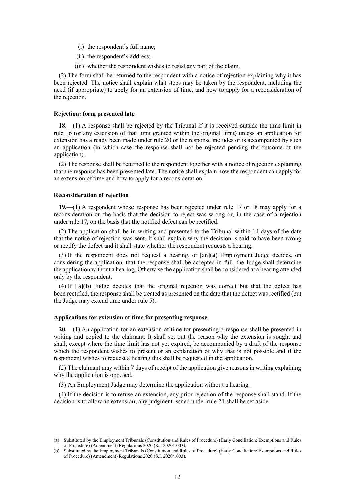- (i) the respondent's full name;
- (ii) the respondent's address;
- (iii) whether the respondent wishes to resist any part of the claim.

(2) The form shall be returned to the respondent with a notice of rejection explaining why it has been rejected. The notice shall explain what steps may be taken by the respondent, including the need (if appropriate) to apply for an extension of time, and how to apply for a reconsideration of the rejection.

#### <span id="page-11-0"></span>**Rejection: form presented late**

**18.**—(1) A response shall be rejected by the Tribunal if it is received outside the time limit in rule 16 (or any extension of that limit granted within the original limit) unless an application for extension has already been made under rule 20 or the response includes or is accompanied by such an application (in which case the response shall not be rejected pending the outcome of the application).

(2) The response shall be returned to the respondent together with a notice of rejection explaining that the response has been presented late. The notice shall explain how the respondent can apply for an extension of time and how to apply for a reconsideration.

#### <span id="page-11-1"></span>**Reconsideration of rejection**

**19.**—(1) A respondent whose response has been rejected under rule 17 or 18 may apply for a reconsideration on the basis that the decision to reject was wrong or, in the case of a rejection under rule 17, on the basis that the notified defect can be rectified.

(2) The application shall be in writing and presented to the Tribunal within 14 days of the date that the notice of rejection was sent. It shall explain why the decision is said to have been wrong or rectify the defect and it shall state whether the respondent requests a hearing.

(3) If the respondent does not request a hearing, or [an](**[a](#page-11-3)**) Employment Judge decides, on considering the application, that the response shall be accepted in full, the Judge shall determine the application without a hearing. Otherwise the application shall be considered at a hearing attended only by the respondent.

(4) If [ a](**[b](#page-11-4)**) Judge decides that the original rejection was correct but that the defect has been rectified, the response shall be treated as presented on the date that the defect was rectified (but the Judge may extend time under rule 5).

#### <span id="page-11-2"></span>**Applications for extension of time for presenting response**

**20.**—(1) An application for an extension of time for presenting a response shall be presented in writing and copied to the claimant. It shall set out the reason why the extension is sought and shall, except where the time limit has not yet expired, be accompanied by a draft of the response which the respondent wishes to present or an explanation of why that is not possible and if the respondent wishes to request a hearing this shall be requested in the application.

(2) The claimant may within 7 days of receipt of the application give reasons in writing explaining why the application is opposed.

(3) An Employment Judge may determine the application without a hearing.

(4) If the decision is to refuse an extension, any prior rejection of the response shall stand. If the decision is to allow an extension, any judgment issued under rule 21 shall be set aside.

<span id="page-11-3"></span><sup>(</sup>**a**) Substituted by the Employment Tribunals (Constitution and Rules of Procedure) (Early Conciliation: Exemptions and Rules of Procedure) (Amendment) Regulations 2020 (S.I. 2020/1003).

<span id="page-11-4"></span><sup>(</sup>**b**) Substituted by the Employment Tribunals (Constitution and Rules of Procedure) (Early Conciliation: Exemptions and Rules of Procedure) (Amendment) Regulations 2020 (S.I. 2020/1003).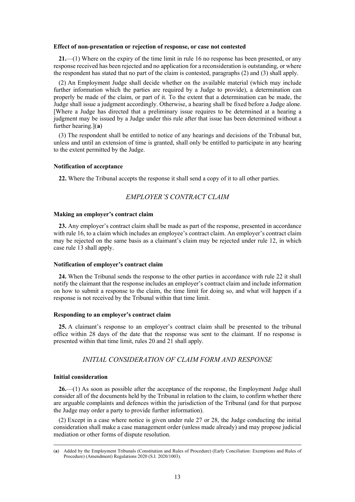#### <span id="page-12-0"></span>**Effect of non-presentation or rejection of response, or case not contested**

**21.**—(1) Where on the expiry of the time limit in rule 16 no response has been presented, or any response received has been rejected and no application for a reconsideration is outstanding, or where the respondent has stated that no part of the claim is contested, paragraphs (2) and (3) shall apply.

(2) An Employment Judge shall decide whether on the available material (which may include further information which the parties are required by a Judge to provide), a determination can properly be made of the claim, or part of it. To the extent that a determination can be made, the Judge shall issue a judgment accordingly. Otherwise, a hearing shall be fixed before a Judge alone. [Where a Judge has directed that a preliminary issue requires to be determined at a hearing a judgment may be issued by a Judge under this rule after that issue has been determined without a further hearing.](**[a](#page-12-6)**)

(3) The respondent shall be entitled to notice of any hearings and decisions of the Tribunal but, unless and until an extension of time is granted, shall only be entitled to participate in any hearing to the extent permitted by the Judge.

#### <span id="page-12-1"></span>**Notification of acceptance**

**22.** Where the Tribunal accepts the response it shall send a copy of it to all other parties.

#### *EMPLOYER'S CONTRACT CLAIM*

#### <span id="page-12-2"></span>**Making an employer's contract claim**

**23.** Any employer's contract claim shall be made as part of the response, presented in accordance with rule 16, to a claim which includes an employee's contract claim. An employer's contract claim may be rejected on the same basis as a claimant's claim may be rejected under rule 12, in which case rule 13 shall apply.

#### <span id="page-12-3"></span>**Notification of employer's contract claim**

**24.** When the Tribunal sends the response to the other parties in accordance with rule 22 it shall notify the claimant that the response includes an employer's contract claim and include information on how to submit a response to the claim, the time limit for doing so, and what will happen if a response is not received by the Tribunal within that time limit.

#### <span id="page-12-4"></span>**Responding to an employer's contract claim**

**25.** A claimant's response to an employer's contract claim shall be presented to the tribunal office within 28 days of the date that the response was sent to the claimant. If no response is presented within that time limit, rules 20 and 21 shall apply.

#### *INITIAL CONSIDERATION OF CLAIM FORM AND RESPONSE*

#### <span id="page-12-5"></span>**Initial consideration**

**26.**—(1) As soon as possible after the acceptance of the response, the Employment Judge shall consider all of the documents held by the Tribunal in relation to the claim, to confirm whether there are arguable complaints and defences within the jurisdiction of the Tribunal (and for that purpose the Judge may order a party to provide further information).

(2) Except in a case where notice is given under rule 27 or 28, the Judge conducting the initial consideration shall make a case management order (unless made already) and may propose judicial mediation or other forms of dispute resolution.

<span id="page-12-6"></span><sup>(</sup>**a**) Added by the Employment Tribunals (Constitution and Rules of Procedure) (Early Conciliation: Exemptions and Rules of Procedure) (Amendment) Regulations 2020 (S.I. 2020/1003).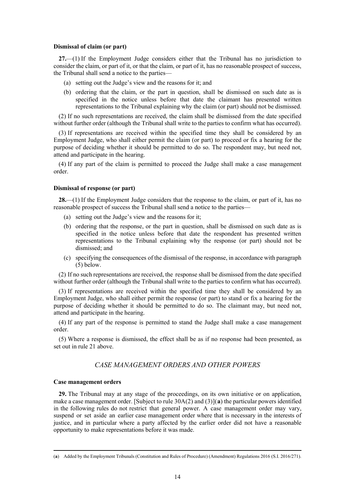#### <span id="page-13-0"></span>**Dismissal of claim (or part)**

**27.**—(1) If the Employment Judge considers either that the Tribunal has no jurisdiction to consider the claim, or part of it, or that the claim, or part of it, has no reasonable prospect of success, the Tribunal shall send a notice to the parties—

- (a) setting out the Judge's view and the reasons for it; and
- (b) ordering that the claim, or the part in question, shall be dismissed on such date as is specified in the notice unless before that date the claimant has presented written representations to the Tribunal explaining why the claim (or part) should not be dismissed.

(2) If no such representations are received, the claim shall be dismissed from the date specified without further order (although the Tribunal shall write to the parties to confirm what has occurred).

(3) If representations are received within the specified time they shall be considered by an Employment Judge, who shall either permit the claim (or part) to proceed or fix a hearing for the purpose of deciding whether it should be permitted to do so. The respondent may, but need not, attend and participate in the hearing.

(4) If any part of the claim is permitted to proceed the Judge shall make a case management order.

#### <span id="page-13-1"></span>**Dismissal of response (or part)**

**28.**—(1) If the Employment Judge considers that the response to the claim, or part of it, has no reasonable prospect of success the Tribunal shall send a notice to the parties—

- (a) setting out the Judge's view and the reasons for it;
- (b) ordering that the response, or the part in question, shall be dismissed on such date as is specified in the notice unless before that date the respondent has presented written representations to the Tribunal explaining why the response (or part) should not be dismissed; and
- (c) specifying the consequences of the dismissal of the response, in accordance with paragraph (5) below.

(2) If no such representations are received, the response shall be dismissed from the date specified without further order (although the Tribunal shall write to the parties to confirm what has occurred).

(3) If representations are received within the specified time they shall be considered by an Employment Judge, who shall either permit the response (or part) to stand or fix a hearing for the purpose of deciding whether it should be permitted to do so. The claimant may, but need not, attend and participate in the hearing.

(4) If any part of the response is permitted to stand the Judge shall make a case management order.

(5) Where a response is dismissed, the effect shall be as if no response had been presented, as set out in rule 21 above.

#### *CASE MANAGEMENT ORDERS AND OTHER POWERS*

#### <span id="page-13-2"></span>**Case management orders**

**29.** The Tribunal may at any stage of the proceedings, on its own initiative or on application, make a case management order. [Subject to rule 30A(2) and (3)](**[a](#page-13-3)**) the particular powers identified in the following rules do not restrict that general power. A case management order may vary, suspend or set aside an earlier case management order where that is necessary in the interests of justice, and in particular where a party affected by the earlier order did not have a reasonable opportunity to make representations before it was made.

<span id="page-13-3"></span><sup>(</sup>**a**) Added by the Employment Tribunals (Constitution and Rules of Procedure) (Amendment) Regulations 2016 (S.I. 2016/271).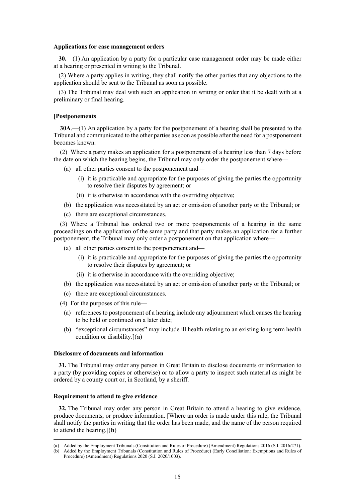#### <span id="page-14-0"></span>**Applications for case management orders**

**30.**—(1) An application by a party for a particular case management order may be made either at a hearing or presented in writing to the Tribunal.

(2) Where a party applies in writing, they shall notify the other parties that any objections to the application should be sent to the Tribunal as soon as possible.

(3) The Tribunal may deal with such an application in writing or order that it be dealt with at a preliminary or final hearing.

#### <span id="page-14-1"></span>**[Postponements**

**30A**.—(1) An application by a party for the postponement of a hearing shall be presented to the Tribunal and communicated to the other parties as soon as possible after the need for a postponement becomes known.

(2) Where a party makes an application for a postponement of a hearing less than 7 days before the date on which the hearing begins, the Tribunal may only order the postponement where—

- (a) all other parties consent to the postponement and—
	- (i) it is practicable and appropriate for the purposes of giving the parties the opportunity to resolve their disputes by agreement; or
	- (ii) it is otherwise in accordance with the overriding objective;
- (b) the application was necessitated by an act or omission of another party or the Tribunal; or
- (c) there are exceptional circumstances.

(3) Where a Tribunal has ordered two or more postponements of a hearing in the same proceedings on the application of the same party and that party makes an application for a further postponement, the Tribunal may only order a postponement on that application where—

- (a) all other parties consent to the postponement and—
	- (i) it is practicable and appropriate for the purposes of giving the parties the opportunity to resolve their disputes by agreement; or
	- (ii) it is otherwise in accordance with the overriding objective;
- (b) the application was necessitated by an act or omission of another party or the Tribunal; or
- (c) there are exceptional circumstances.
- (4) For the purposes of this rule—
	- (a) references to postponement of a hearing include any adjournment which causes the hearing to be held or continued on a later date;
	- (b) "exceptional circumstances" may include ill health relating to an existing long term health condition or disability.](**[a](#page-14-4)**)

#### <span id="page-14-2"></span>**Disclosure of documents and information**

**31.** The Tribunal may order any person in Great Britain to disclose documents or information to a party (by providing copies or otherwise) or to allow a party to inspect such material as might be ordered by a county court or, in Scotland, by a sheriff.

#### <span id="page-14-3"></span>**Requirement to attend to give evidence**

**32.** The Tribunal may order any person in Great Britain to attend a hearing to give evidence, produce documents, or produce information. [Where an order is made under this rule, the Tribunal shall notify the parties in writing that the order has been made, and the name of the person required to attend the hearing.](**[b](#page-14-5)**)

<span id="page-14-4"></span><sup>(</sup>**a**) Added by the Employment Tribunals (Constitution and Rules of Procedure) (Amendment) Regulations 2016 (S.I. 2016/271).

<span id="page-14-5"></span><sup>(</sup>**b**) Added by the Employment Tribunals (Constitution and Rules of Procedure) (Early Conciliation: Exemptions and Rules of Procedure) (Amendment) Regulations 2020 (S.I. 2020/1003).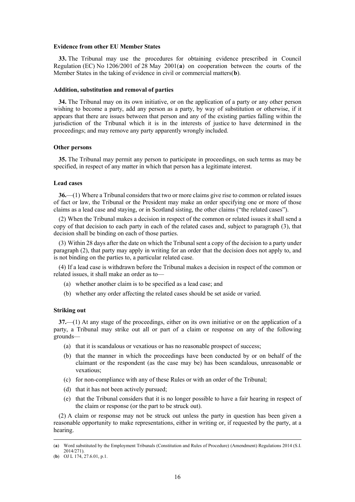#### <span id="page-15-0"></span>**Evidence from other EU Member States**

**33.** The Tribunal may use the procedures for obtaining evidence prescribed in Council Regulation (EC) No 1206/2001 of 28 May 2001(**[a](#page-15-5)**) on cooperation between the courts of the Member States in the taking of evidence in civil or commercial matters(**[b](#page-15-6)**).

#### <span id="page-15-1"></span>**Addition, substitution and removal of parties**

**34.** The Tribunal may on its own initiative, or on the application of a party or any other person wishing to become a party, add any person as a party, by way of substitution or otherwise, if it appears that there are issues between that person and any of the existing parties falling within the jurisdiction of the Tribunal which it is in the interests of justice to have determined in the proceedings; and may remove any party apparently wrongly included.

#### <span id="page-15-2"></span>**Other persons**

**35.** The Tribunal may permit any person to participate in proceedings, on such terms as may be specified, in respect of any matter in which that person has a legitimate interest.

#### <span id="page-15-3"></span>**Lead cases**

**36.**—(1) Where a Tribunal considers that two or more claims give rise to common or related issues of fact or law, the Tribunal or the President may make an order specifying one or more of those claims as a lead case and staying, or in Scotland sisting, the other claims ("the related cases").

(2) When the Tribunal makes a decision in respect of the common or related issues it shall send a copy of that decision to each party in each of the related cases and, subject to paragraph (3), that decision shall be binding on each of those parties.

(3) Within 28 days after the date on which the Tribunal sent a copy of the decision to a party under paragraph (2), that party may apply in writing for an order that the decision does not apply to, and is not binding on the parties to, a particular related case.

(4) If a lead case is withdrawn before the Tribunal makes a decision in respect of the common or related issues, it shall make an order as to—

- (a) whether another claim is to be specified as a lead case; and
- (b) whether any order affecting the related cases should be set aside or varied.

#### <span id="page-15-4"></span>**Striking out**

**37.**—(1) At any stage of the proceedings, either on its own initiative or on the application of a party, a Tribunal may strike out all or part of a claim or response on any of the following grounds—

- (a) that it is scandalous or vexatious or has no reasonable prospect of success;
- (b) that the manner in which the proceedings have been conducted by or on behalf of the claimant or the respondent (as the case may be) has been scandalous, unreasonable or vexatious;
- (c) for non-compliance with any of these Rules or with an order of the Tribunal;
- (d) that it has not been actively pursued;
- (e) that the Tribunal considers that it is no longer possible to have a fair hearing in respect of the claim or response (or the part to be struck out).

(2) A claim or response may not be struck out unless the party in question has been given a reasonable opportunity to make representations, either in writing or, if requested by the party, at a hearing.

<span id="page-15-5"></span><sup>(</sup>**a**) Word substituted by the Employment Tribunals (Constitution and Rules of Procedure) (Amendment) Regulations 2014 (S.I. 2014/271).

<span id="page-15-6"></span><sup>(</sup>**b**) OJ L 174, 27.6.01, p.1.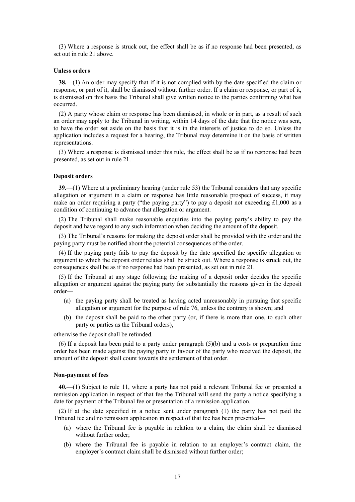(3) Where a response is struck out, the effect shall be as if no response had been presented, as set out in rule 21 above.

#### <span id="page-16-0"></span>**Unless orders**

**38.**—(1) An order may specify that if it is not complied with by the date specified the claim or response, or part of it, shall be dismissed without further order. If a claim or response, or part of it, is dismissed on this basis the Tribunal shall give written notice to the parties confirming what has occurred.

(2) A party whose claim or response has been dismissed, in whole or in part, as a result of such an order may apply to the Tribunal in writing, within 14 days of the date that the notice was sent, to have the order set aside on the basis that it is in the interests of justice to do so. Unless the application includes a request for a hearing, the Tribunal may determine it on the basis of written representations.

(3) Where a response is dismissed under this rule, the effect shall be as if no response had been presented, as set out in rule 21.

#### <span id="page-16-1"></span>**Deposit orders**

**39.**—(1) Where at a preliminary hearing (under rule 53) the Tribunal considers that any specific allegation or argument in a claim or response has little reasonable prospect of success, it may make an order requiring a party ("the paying party") to pay a deposit not exceeding £1,000 as a condition of continuing to advance that allegation or argument.

(2) The Tribunal shall make reasonable enquiries into the paying party's ability to pay the deposit and have regard to any such information when deciding the amount of the deposit.

(3) The Tribunal's reasons for making the deposit order shall be provided with the order and the paying party must be notified about the potential consequences of the order.

(4) If the paying party fails to pay the deposit by the date specified the specific allegation or argument to which the deposit order relates shall be struck out. Where a response is struck out, the consequences shall be as if no response had been presented, as set out in rule 21.

(5) If the Tribunal at any stage following the making of a deposit order decides the specific allegation or argument against the paying party for substantially the reasons given in the deposit order—

- (a) the paying party shall be treated as having acted unreasonably in pursuing that specific allegation or argument for the purpose of rule 76, unless the contrary is shown; and
- (b) the deposit shall be paid to the other party (or, if there is more than one, to such other party or parties as the Tribunal orders),

otherwise the deposit shall be refunded.

(6) If a deposit has been paid to a party under paragraph (5)(b) and a costs or preparation time order has been made against the paying party in favour of the party who received the deposit, the amount of the deposit shall count towards the settlement of that order.

#### <span id="page-16-2"></span>**Non-payment of fees**

**40.**—(1) Subject to rule 11, where a party has not paid a relevant Tribunal fee or presented a remission application in respect of that fee the Tribunal will send the party a notice specifying a date for payment of the Tribunal fee or presentation of a remission application.

(2) If at the date specified in a notice sent under paragraph (1) the party has not paid the Tribunal fee and no remission application in respect of that fee has been presented—

- (a) where the Tribunal fee is payable in relation to a claim, the claim shall be dismissed without further order;
- (b) where the Tribunal fee is payable in relation to an employer's contract claim, the employer's contract claim shall be dismissed without further order;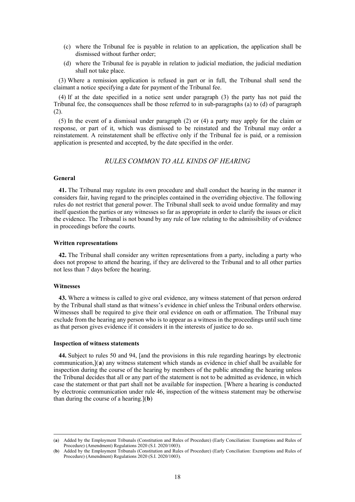- (c) where the Tribunal fee is payable in relation to an application, the application shall be dismissed without further order;
- (d) where the Tribunal fee is payable in relation to judicial mediation, the judicial mediation shall not take place.

(3) Where a remission application is refused in part or in full, the Tribunal shall send the claimant a notice specifying a date for payment of the Tribunal fee.

(4) If at the date specified in a notice sent under paragraph (3) the party has not paid the Tribunal fee, the consequences shall be those referred to in sub-paragraphs (a) to (d) of paragraph (2).

(5) In the event of a dismissal under paragraph (2) or (4) a party may apply for the claim or response, or part of it, which was dismissed to be reinstated and the Tribunal may order a reinstatement. A reinstatement shall be effective only if the Tribunal fee is paid, or a remission application is presented and accepted, by the date specified in the order.

#### *RULES COMMON TO ALL KINDS OF HEARING*

#### <span id="page-17-0"></span>**General**

**41.** The Tribunal may regulate its own procedure and shall conduct the hearing in the manner it considers fair, having regard to the principles contained in the overriding objective. The following rules do not restrict that general power. The Tribunal shall seek to avoid undue formality and may itself question the parties or any witnesses so far as appropriate in order to clarify the issues or elicit the evidence. The Tribunal is not bound by any rule of law relating to the admissibility of evidence in proceedings before the courts.

#### <span id="page-17-1"></span>**Written representations**

**42.** The Tribunal shall consider any written representations from a party, including a party who does not propose to attend the hearing, if they are delivered to the Tribunal and to all other parties not less than 7 days before the hearing.

#### <span id="page-17-2"></span>**Witnesses**

**43.** Where a witness is called to give oral evidence, any witness statement of that person ordered by the Tribunal shall stand as that witness's evidence in chief unless the Tribunal orders otherwise. Witnesses shall be required to give their oral evidence on oath or affirmation. The Tribunal may exclude from the hearing any person who is to appear as a witness in the proceedings until such time as that person gives evidence if it considers it in the interests of justice to do so.

#### <span id="page-17-3"></span>**Inspection of witness statements**

**44.** Subject to rules 50 and 94, [and the provisions in this rule regarding hearings by electronic communication,](**[a](#page-17-4)**) any witness statement which stands as evidence in chief shall be available for inspection during the course of the hearing by members of the public attending the hearing unless the Tribunal decides that all or any part of the statement is not to be admitted as evidence, in which case the statement or that part shall not be available for inspection. [Where a hearing is conducted by electronic communication under rule 46, inspection of the witness statement may be otherwise than during the course of a hearing.](**[b](#page-17-5)**)

<span id="page-17-4"></span><sup>(</sup>**a**) Added by the Employment Tribunals (Constitution and Rules of Procedure) (Early Conciliation: Exemptions and Rules of Procedure) (Amendment) Regulations 2020 (S.I. 2020/1003).

<span id="page-17-5"></span><sup>(</sup>**b**) Added by the Employment Tribunals (Constitution and Rules of Procedure) (Early Conciliation: Exemptions and Rules of Procedure) (Amendment) Regulations 2020 (S.I. 2020/1003).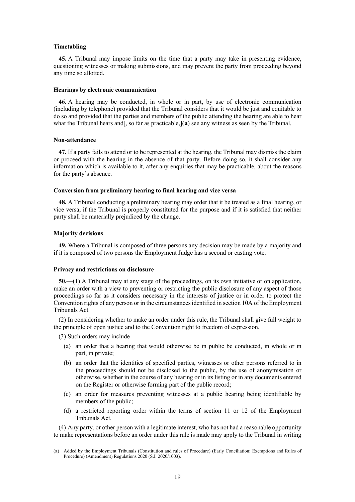#### <span id="page-18-0"></span>**Timetabling**

**45.** A Tribunal may impose limits on the time that a party may take in presenting evidence, questioning witnesses or making submissions, and may prevent the party from proceeding beyond any time so allotted.

#### <span id="page-18-1"></span>**Hearings by electronic communication**

**46.** A hearing may be conducted, in whole or in part, by use of electronic communication (including by telephone) provided that the Tribunal considers that it would be just and equitable to do so and provided that the parties and members of the public attending the hearing are able to hear what the Tribunal hears and[, so far as practicable,](**[a](#page-18-6)**) see any witness as seen by the Tribunal.

#### <span id="page-18-2"></span>**Non-attendance**

**47.** If a party fails to attend or to be represented at the hearing, the Tribunal may dismiss the claim or proceed with the hearing in the absence of that party. Before doing so, it shall consider any information which is available to it, after any enquiries that may be practicable, about the reasons for the party's absence.

#### <span id="page-18-3"></span>**Conversion from preliminary hearing to final hearing and vice versa**

**48.** A Tribunal conducting a preliminary hearing may order that it be treated as a final hearing, or vice versa, if the Tribunal is properly constituted for the purpose and if it is satisfied that neither party shall be materially prejudiced by the change.

#### <span id="page-18-4"></span>**Majority decisions**

**49.** Where a Tribunal is composed of three persons any decision may be made by a majority and if it is composed of two persons the Employment Judge has a second or casting vote.

#### <span id="page-18-5"></span>**Privacy and restrictions on disclosure**

**50.**—(1) A Tribunal may at any stage of the proceedings, on its own initiative or on application, make an order with a view to preventing or restricting the public disclosure of any aspect of those proceedings so far as it considers necessary in the interests of justice or in order to protect the Convention rights of any person or in the circumstances identified in section 10A of the Employment Tribunals Act.

(2) In considering whether to make an order under this rule, the Tribunal shall give full weight to the principle of open justice and to the Convention right to freedom of expression.

(3) Such orders may include—

- (a) an order that a hearing that would otherwise be in public be conducted, in whole or in part, in private;
- (b) an order that the identities of specified parties, witnesses or other persons referred to in the proceedings should not be disclosed to the public, by the use of anonymisation or otherwise, whether in the course of any hearing or in its listing or in any documents entered on the Register or otherwise forming part of the public record;
- (c) an order for measures preventing witnesses at a public hearing being identifiable by members of the public;
- (d) a restricted reporting order within the terms of section 11 or 12 of the Employment Tribunals Act.

(4) Any party, or other person with a legitimate interest, who has not had a reasonable opportunity to make representations before an order under this rule is made may apply to the Tribunal in writing

<span id="page-18-6"></span><sup>(</sup>**a**) Added by the Employment Tribunals (Constitution and rules of Procedure) (Early Conciliation: Exemptions and Rules of Procedure) (Amendment) Regulations 2020 (S.I. 2020/1003).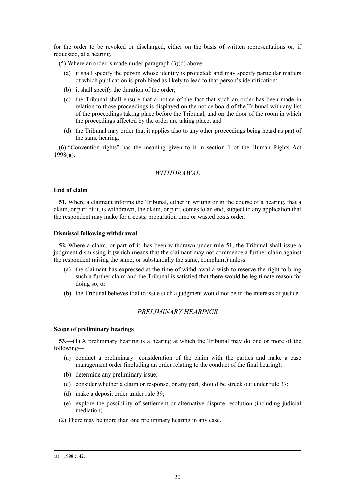for the order to be revoked or discharged, either on the basis of written representations or, if requested, at a hearing.

(5) Where an order is made under paragraph  $(3)(d)$  above—

- (a) it shall specify the person whose identity is protected; and may specify particular matters of which publication is prohibited as likely to lead to that person's identification;
- (b) it shall specify the duration of the order;
- (c) the Tribunal shall ensure that a notice of the fact that such an order has been made in relation to those proceedings is displayed on the notice board of the Tribunal with any list of the proceedings taking place before the Tribunal, and on the door of the room in which the proceedings affected by the order are taking place; and
- (d) the Tribunal may order that it applies also to any other proceedings being heard as part of the same hearing.

(6) "Convention rights" has the meaning given to it in section 1 of the Human Rights Act 1998(**[a](#page-19-3)**).

#### *WITHDRAWAL*

#### <span id="page-19-0"></span>**End of claim**

**51.** Where a claimant informs the Tribunal, either in writing or in the course of a hearing, that a claim, or part of it, is withdrawn, the claim, or part, comes to an end, subject to any application that the respondent may make for a costs, preparation time or wasted costs order.

#### <span id="page-19-1"></span>**Dismissal following withdrawal**

**52.** Where a claim, or part of it, has been withdrawn under rule 51, the Tribunal shall issue a judgment dismissing it (which means that the claimant may not commence a further claim against the respondent raising the same, or substantially the same, complaint) unless—

- (a) the claimant has expressed at the time of withdrawal a wish to reserve the right to bring such a further claim and the Tribunal is satisfied that there would be legitimate reason for doing so; or
- (b) the Tribunal believes that to issue such a judgment would not be in the interests of justice.

#### *PRELIMINARY HEARINGS*

#### <span id="page-19-2"></span>**Scope of preliminary hearings**

**53.**—(1) A preliminary hearing is a hearing at which the Tribunal may do one or more of the following—

- (a) conduct a preliminary consideration of the claim with the parties and make a case management order (including an order relating to the conduct of the final hearing);
- (b) determine any preliminary issue;
- (c) consider whether a claim or response, or any part, should be struck out under rule 37;
- (d) make a deposit order under rule 39;
- (e) explore the possibility of settlement or alternative dispute resolution (including judicial mediation).
- (2) There may be more than one preliminary hearing in any case.

<span id="page-19-3"></span><sup>(</sup>**a**) 1998 c. 42.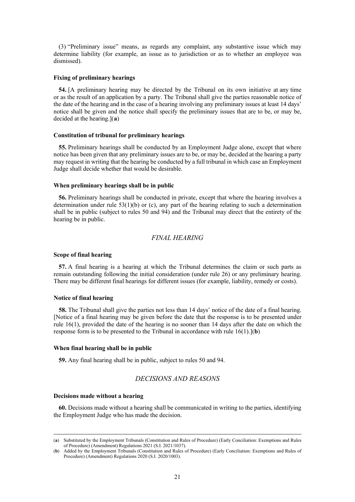(3) "Preliminary issue" means, as regards any complaint, any substantive issue which may determine liability (for example, an issue as to jurisdiction or as to whether an employee was dismissed).

#### <span id="page-20-0"></span>**Fixing of preliminary hearings**

**54.** [A preliminary hearing may be directed by the Tribunal on its own initiative at any time or as the result of an application by a party. The Tribunal shall give the parties reasonable notice of the date of the hearing and in the case of a hearing involving any preliminary issues at least 14 days' notice shall be given and the notice shall specify the preliminary issues that are to be, or may be, decided at the hearing.](**[a](#page-20-7)**)

#### <span id="page-20-1"></span>**Constitution of tribunal for preliminary hearings**

**55.** Preliminary hearings shall be conducted by an Employment Judge alone, except that where notice has been given that any preliminary issues are to be, or may be, decided at the hearing a party may request in writing that the hearing be conducted by a full tribunal in which case an Employment Judge shall decide whether that would be desirable.

#### <span id="page-20-2"></span>**When preliminary hearings shall be in public**

**56.** Preliminary hearings shall be conducted in private, except that where the hearing involves a determination under rule 53(1)(b) or (c), any part of the hearing relating to such a determination shall be in public (subject to rules 50 and 94) and the Tribunal may direct that the entirety of the hearing be in public.

#### *FINAL HEARING*

#### <span id="page-20-3"></span>**Scope of final hearing**

**57.** A final hearing is a hearing at which the Tribunal determines the claim or such parts as remain outstanding following the initial consideration (under rule 26) or any preliminary hearing. There may be different final hearings for different issues (for example, liability, remedy or costs).

#### <span id="page-20-4"></span>**Notice of final hearing**

**58.** The Tribunal shall give the parties not less than 14 days' notice of the date of a final hearing. [Notice of a final hearing may be given before the date that the response is to be presented under rule 16(1), provided the date of the hearing is no sooner than 14 days after the date on which the response form is to be presented to the Tribunal in accordance with rule 16(1).](**[b](#page-20-8)**)

#### <span id="page-20-5"></span>**When final hearing shall be in public**

**59.** Any final hearing shall be in public, subject to rules 50 and 94.

#### *DECISIONS AND REASONS*

#### <span id="page-20-6"></span>**Decisions made without a hearing**

**60.** Decisions made without a hearing shall be communicated in writing to the parties, identifying the Employment Judge who has made the decision.

<span id="page-20-7"></span><sup>(</sup>**a**) Substituted by the Employment Tribunals (Constitution and Rules of Procedure) (Early Conciliation: Exemptions and Rules of Procedure) (Amendment) Regulations 2021 (S.I. 2021/1037).

<span id="page-20-8"></span><sup>(</sup>**b**) Added by the Employment Tribunals (Constitution and Rules of Procedure) (Early Conciliation: Exemptions and Rules of Procedure) (Amendment) Regulations 2020 (S.I. 2020/1003).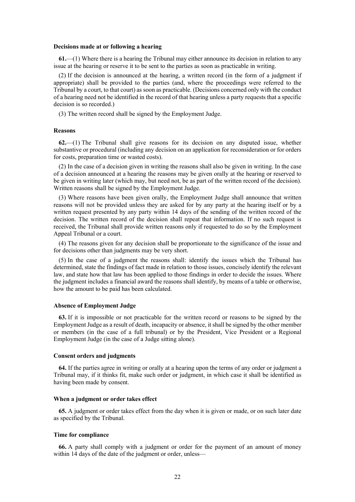#### <span id="page-21-0"></span>**Decisions made at or following a hearing**

**61.**—(1) Where there is a hearing the Tribunal may either announce its decision in relation to any issue at the hearing or reserve it to be sent to the parties as soon as practicable in writing.

(2) If the decision is announced at the hearing, a written record (in the form of a judgment if appropriate) shall be provided to the parties (and, where the proceedings were referred to the Tribunal by a court, to that court) as soon as practicable. (Decisions concerned only with the conduct of a hearing need not be identified in the record of that hearing unless a party requests that a specific decision is so recorded.)

<span id="page-21-1"></span>(3) The written record shall be signed by the Employment Judge.

#### **Reasons**

**62.**—(1) The Tribunal shall give reasons for its decision on any disputed issue, whether substantive or procedural (including any decision on an application for reconsideration or for orders for costs, preparation time or wasted costs).

(2) In the case of a decision given in writing the reasons shall also be given in writing. In the case of a decision announced at a hearing the reasons may be given orally at the hearing or reserved to be given in writing later (which may, but need not, be as part of the written record of the decision). Written reasons shall be signed by the Employment Judge.

(3) Where reasons have been given orally, the Employment Judge shall announce that written reasons will not be provided unless they are asked for by any party at the hearing itself or by a written request presented by any party within 14 days of the sending of the written record of the decision. The written record of the decision shall repeat that information. If no such request is received, the Tribunal shall provide written reasons only if requested to do so by the Employment Appeal Tribunal or a court.

(4) The reasons given for any decision shall be proportionate to the significance of the issue and for decisions other than judgments may be very short.

(5) In the case of a judgment the reasons shall: identify the issues which the Tribunal has determined, state the findings of fact made in relation to those issues, concisely identify the relevant law, and state how that law has been applied to those findings in order to decide the issues. Where the judgment includes a financial award the reasons shall identify, by means of a table or otherwise, how the amount to be paid has been calculated.

#### <span id="page-21-2"></span>**Absence of Employment Judge**

**63.** If it is impossible or not practicable for the written record or reasons to be signed by the Employment Judge as a result of death, incapacity or absence, it shall be signed by the other member or members (in the case of a full tribunal) or by the President, Vice President or a Regional Employment Judge (in the case of a Judge sitting alone).

#### <span id="page-21-3"></span>**Consent orders and judgments**

**64.** If the parties agree in writing or orally at a hearing upon the terms of any order or judgment a Tribunal may, if it thinks fit, make such order or judgment, in which case it shall be identified as having been made by consent.

#### <span id="page-21-4"></span>**When a judgment or order takes effect**

**65.** A judgment or order takes effect from the day when it is given or made, or on such later date as specified by the Tribunal.

#### <span id="page-21-5"></span>**Time for compliance**

**66.** A party shall comply with a judgment or order for the payment of an amount of money within 14 days of the date of the judgment or order, unless-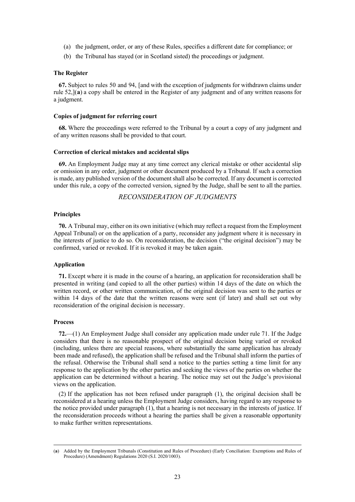- (a) the judgment, order, or any of these Rules, specifies a different date for compliance; or
- (b) the Tribunal has stayed (or in Scotland sisted) the proceedings or judgment.

#### <span id="page-22-0"></span>**The Register**

**67.** Subject to rules 50 and 94, [and with the exception of judgments for withdrawn claims under rule 52,](**[a](#page-22-6)**) a copy shall be entered in the Register of any judgment and of any written reasons for a judgment.

#### <span id="page-22-1"></span>**Copies of judgment for referring court**

**68.** Where the proceedings were referred to the Tribunal by a court a copy of any judgment and of any written reasons shall be provided to that court.

#### <span id="page-22-2"></span>**Correction of clerical mistakes and accidental slips**

**69.** An Employment Judge may at any time correct any clerical mistake or other accidental slip or omission in any order, judgment or other document produced by a Tribunal. If such a correction is made, any published version of the document shall also be corrected. If any document is corrected under this rule, a copy of the corrected version, signed by the Judge, shall be sent to all the parties.

#### *RECONSIDERATION OF JUDGMENTS*

#### <span id="page-22-3"></span>**Principles**

**70.** A Tribunal may, either on its own initiative (which may reflect a request from the Employment Appeal Tribunal) or on the application of a party, reconsider any judgment where it is necessary in the interests of justice to do so. On reconsideration, the decision ("the original decision") may be confirmed, varied or revoked. If it is revoked it may be taken again.

#### <span id="page-22-4"></span>**Application**

**71.** Except where it is made in the course of a hearing, an application for reconsideration shall be presented in writing (and copied to all the other parties) within 14 days of the date on which the written record, or other written communication, of the original decision was sent to the parties or within 14 days of the date that the written reasons were sent (if later) and shall set out why reconsideration of the original decision is necessary.

#### <span id="page-22-5"></span>**Process**

**72.**—(1) An Employment Judge shall consider any application made under rule 71. If the Judge considers that there is no reasonable prospect of the original decision being varied or revoked (including, unless there are special reasons, where substantially the same application has already been made and refused), the application shall be refused and the Tribunal shall inform the parties of the refusal. Otherwise the Tribunal shall send a notice to the parties setting a time limit for any response to the application by the other parties and seeking the views of the parties on whether the application can be determined without a hearing. The notice may set out the Judge's provisional views on the application.

(2) If the application has not been refused under paragraph (1), the original decision shall be reconsidered at a hearing unless the Employment Judge considers, having regard to any response to the notice provided under paragraph (1), that a hearing is not necessary in the interests of justice. If the reconsideration proceeds without a hearing the parties shall be given a reasonable opportunity to make further written representations.

<span id="page-22-6"></span><sup>(</sup>**a**) Added by the Employment Tribunals (Constitution and Rules of Procedure) (Early Conciliation: Exemptions and Rules of Procedure) (Amendment) Regulations 2020 (S.I. 2020/1003).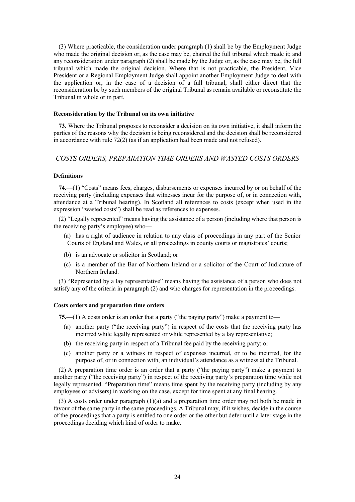(3) Where practicable, the consideration under paragraph (1) shall be by the Employment Judge who made the original decision or, as the case may be, chaired the full tribunal which made it; and any reconsideration under paragraph (2) shall be made by the Judge or, as the case may be, the full tribunal which made the original decision. Where that is not practicable, the President, Vice President or a Regional Employment Judge shall appoint another Employment Judge to deal with the application or, in the case of a decision of a full tribunal, shall either direct that the reconsideration be by such members of the original Tribunal as remain available or reconstitute the Tribunal in whole or in part.

#### <span id="page-23-0"></span>**Reconsideration by the Tribunal on its own initiative**

**73.** Where the Tribunal proposes to reconsider a decision on its own initiative, it shall inform the parties of the reasons why the decision is being reconsidered and the decision shall be reconsidered in accordance with rule 72(2) (as if an application had been made and not refused).

#### <span id="page-23-1"></span>*COSTS ORDERS, PREPARATION TIME ORDERS AND WASTED COSTS ORDERS*

#### **Definitions**

**74.**—(1) "Costs" means fees, charges, disbursements or expenses incurred by or on behalf of the receiving party (including expenses that witnesses incur for the purpose of, or in connection with, attendance at a Tribunal hearing). In Scotland all references to costs (except when used in the expression "wasted costs") shall be read as references to expenses.

(2) "Legally represented" means having the assistance of a person (including where that person is the receiving party's employee) who—

- (a) has a right of audience in relation to any class of proceedings in any part of the Senior Courts of England and Wales, or all proceedings in county courts or magistrates' courts;
- (b) is an advocate or solicitor in Scotland; or
- (c) is a member of the Bar of Northern Ireland or a solicitor of the Court of Judicature of Northern Ireland.

(3) "Represented by a lay representative" means having the assistance of a person who does not satisfy any of the criteria in paragraph (2) and who charges for representation in the proceedings.

#### <span id="page-23-2"></span>**Costs orders and preparation time orders**

**75.**—(1) A costs order is an order that a party ("the paying party") make a payment to—

- (a) another party ("the receiving party") in respect of the costs that the receiving party has incurred while legally represented or while represented by a lay representative;
- (b) the receiving party in respect of a Tribunal fee paid by the receiving party; or
- (c) another party or a witness in respect of expenses incurred, or to be incurred, for the purpose of, or in connection with, an individual's attendance as a witness at the Tribunal.

(2) A preparation time order is an order that a party ("the paying party") make a payment to another party ("the receiving party") in respect of the receiving party's preparation time while not legally represented. "Preparation time" means time spent by the receiving party (including by any employees or advisers) in working on the case, except for time spent at any final hearing.

(3) A costs order under paragraph (1)(a) and a preparation time order may not both be made in favour of the same party in the same proceedings. A Tribunal may, if it wishes, decide in the course of the proceedings that a party is entitled to one order or the other but defer until a later stage in the proceedings deciding which kind of order to make.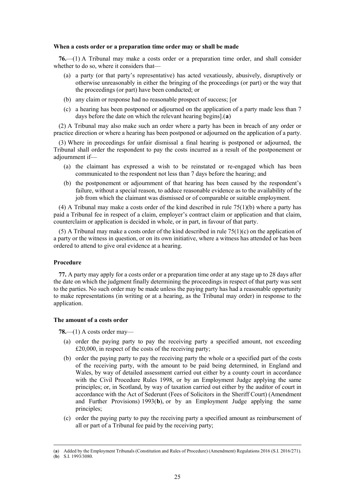#### <span id="page-24-0"></span>**When a costs order or a preparation time order may or shall be made**

**76.**—(1) A Tribunal may make a costs order or a preparation time order, and shall consider whether to do so, where it considers that-

- (a) a party (or that party's representative) has acted vexatiously, abusively, disruptively or otherwise unreasonably in either the bringing of the proceedings (or part) or the way that the proceedings (or part) have been conducted; or
- (b) any claim or response had no reasonable prospect of success; [or
- (c) a hearing has been postponed or adjourned on the application of a party made less than 7 days before the date on which the relevant hearing begins].(**[a](#page-24-3)**)

(2) A Tribunal may also make such an order where a party has been in breach of any order or practice direction or where a hearing has been postponed or adjourned on the application of a party.

(3) Where in proceedings for unfair dismissal a final hearing is postponed or adjourned, the Tribunal shall order the respondent to pay the costs incurred as a result of the postponement or adjournment if—

- (a) the claimant has expressed a wish to be reinstated or re-engaged which has been communicated to the respondent not less than 7 days before the hearing; and
- (b) the postponement or adjournment of that hearing has been caused by the respondent's failure, without a special reason, to adduce reasonable evidence as to the availability of the job from which the claimant was dismissed or of comparable or suitable employment.

(4) A Tribunal may make a costs order of the kind described in rule  $75(1)(b)$  where a party has paid a Tribunal fee in respect of a claim, employer's contract claim or application and that claim, counterclaim or application is decided in whole, or in part, in favour of that party.

(5) A Tribunal may make a costs order of the kind described in rule 75(1)(c) on the application of a party or the witness in question, or on its own initiative, where a witness has attended or has been ordered to attend to give oral evidence at a hearing.

#### <span id="page-24-1"></span>**Procedure**

**77.** A party may apply for a costs order or a preparation time order at any stage up to 28 days after the date on which the judgment finally determining the proceedings in respect of that party was sent to the parties. No such order may be made unless the paying party has had a reasonable opportunity to make representations (in writing or at a hearing, as the Tribunal may order) in response to the application.

#### <span id="page-24-2"></span>**The amount of a costs order**

**78.**—(1) A costs order may—

- (a) order the paying party to pay the receiving party a specified amount, not exceeding £20,000, in respect of the costs of the receiving party;
- (b) order the paying party to pay the receiving party the whole or a specified part of the costs of the receiving party, with the amount to be paid being determined, in England and Wales, by way of detailed assessment carried out either by a county court in accordance with the Civil Procedure Rules 1998, or by an Employment Judge applying the same principles; or, in Scotland, by way of taxation carried out either by the auditor of court in accordance with the Act of Sederunt (Fees of Solicitors in the Sheriff Court) (Amendment and Further Provisions) 1993(**[b](#page-24-4)**), or by an Employment Judge applying the same principles;
- (c) order the paying party to pay the receiving party a specified amount as reimbursement of all or part of a Tribunal fee paid by the receiving party;

<span id="page-24-3"></span><sup>(</sup>**a**) Added by the Employment Tribunals (Constitution and Rules of Procedure) (Amendment) Regulations 2016 (S.I. 2016/271).

<span id="page-24-4"></span><sup>(</sup>**b**) S.I. 1993/3080.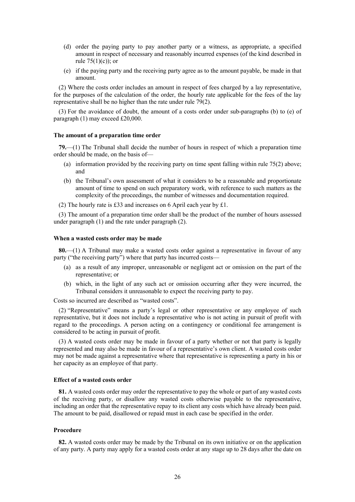- (d) order the paying party to pay another party or a witness, as appropriate, a specified amount in respect of necessary and reasonably incurred expenses (of the kind described in rule  $75(1)(c)$ ; or
- (e) if the paying party and the receiving party agree as to the amount payable, be made in that amount.

(2) Where the costs order includes an amount in respect of fees charged by a lay representative, for the purposes of the calculation of the order, the hourly rate applicable for the fees of the lay representative shall be no higher than the rate under rule 79(2).

(3) For the avoidance of doubt, the amount of a costs order under sub-paragraphs (b) to (e) of paragraph (1) may exceed £20,000.

#### <span id="page-25-0"></span>**The amount of a preparation time order**

**79.**—(1) The Tribunal shall decide the number of hours in respect of which a preparation time order should be made, on the basis of—

- (a) information provided by the receiving party on time spent falling within rule 75(2) above; and
- (b) the Tribunal's own assessment of what it considers to be a reasonable and proportionate amount of time to spend on such preparatory work, with reference to such matters as the complexity of the proceedings, the number of witnesses and documentation required.
- (2) The hourly rate is £33 and increases on 6 April each year by £1.

(3) The amount of a preparation time order shall be the product of the number of hours assessed under paragraph (1) and the rate under paragraph (2).

#### <span id="page-25-1"></span>**When a wasted costs order may be made**

**80.**—(1) A Tribunal may make a wasted costs order against a representative in favour of any party ("the receiving party") where that party has incurred costs—

- (a) as a result of any improper, unreasonable or negligent act or omission on the part of the representative; or
- (b) which, in the light of any such act or omission occurring after they were incurred, the Tribunal considers it unreasonable to expect the receiving party to pay.

Costs so incurred are described as "wasted costs".

(2) "Representative" means a party's legal or other representative or any employee of such representative, but it does not include a representative who is not acting in pursuit of profit with regard to the proceedings. A person acting on a contingency or conditional fee arrangement is considered to be acting in pursuit of profit.

(3) A wasted costs order may be made in favour of a party whether or not that party is legally represented and may also be made in favour of a representative's own client. A wasted costs order may not be made against a representative where that representative is representing a party in his or her capacity as an employee of that party.

#### <span id="page-25-2"></span>**Effect of a wasted costs order**

**81.** A wasted costs order may order the representative to pay the whole or part of any wasted costs of the receiving party, or disallow any wasted costs otherwise payable to the representative, including an order that the representative repay to its client any costs which have already been paid. The amount to be paid, disallowed or repaid must in each case be specified in the order.

#### <span id="page-25-3"></span>**Procedure**

**82.** A wasted costs order may be made by the Tribunal on its own initiative or on the application of any party. A party may apply for a wasted costs order at any stage up to 28 days after the date on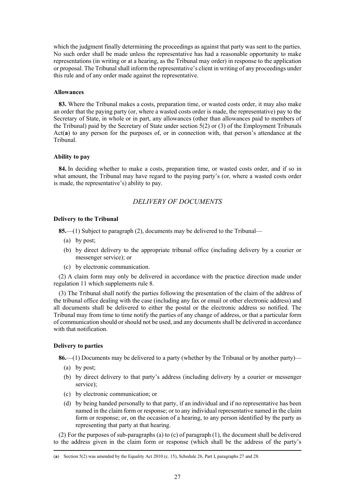which the judgment finally determining the proceedings as against that party was sent to the parties. No such order shall be made unless the representative has had a reasonable opportunity to make representations (in writing or at a hearing, as the Tribunal may order) in response to the application or proposal. The Tribunal shall inform the representative's client in writing of any proceedings under this rule and of any order made against the representative.

#### <span id="page-26-0"></span>**Allowances**

**83.** Where the Tribunal makes a costs, preparation time, or wasted costs order, it may also make an order that the paying party (or, where a wasted costs order is made, the representative) pay to the Secretary of State, in whole or in part, any allowances (other than allowances paid to members of the Tribunal) paid by the Secretary of State under section 5(2) or (3) of the Employment Tribunals Act(**[a](#page-26-4)**) to any person for the purposes of, or in connection with, that person's attendance at the Tribunal.

#### <span id="page-26-1"></span>**Ability to pay**

**84.** In deciding whether to make a costs, preparation time, or wasted costs order, and if so in what amount, the Tribunal may have regard to the paying party's (or, where a wasted costs order is made, the representative's) ability to pay.

#### *DELIVERY OF DOCUMENTS*

#### <span id="page-26-2"></span>**Delivery to the Tribunal**

**85.**—(1) Subject to paragraph (2), documents may be delivered to the Tribunal—

- (a) by post;
- (b) by direct delivery to the appropriate tribunal office (including delivery by a courier or messenger service); or
- (c) by electronic communication.

(2) A claim form may only be delivered in accordance with the practice direction made under regulation 11 which supplements rule 8.

(3) The Tribunal shall notify the parties following the presentation of the claim of the address of the tribunal office dealing with the case (including any fax or email or other electronic address) and all documents shall be delivered to either the postal or the electronic address so notified. The Tribunal may from time to time notify the parties of any change of address, or that a particular form of communication should or should not be used, and any documents shall be delivered in accordance with that notification.

#### <span id="page-26-3"></span>**Delivery to parties**

**86.**—(1) Documents may be delivered to a party (whether by the Tribunal or by another party)—

- (a) by post;
- (b) by direct delivery to that party's address (including delivery by a courier or messenger service);
- (c) by electronic communication; or
- (d) by being handed personally to that party, if an individual and if no representative has been named in the claim form or response; or to any individual representative named in the claim form or response; or, on the occasion of a hearing, to any person identified by the party as representing that party at that hearing.

(2) For the purposes of sub-paragraphs (a) to (c) of paragraph (1), the document shall be delivered to the address given in the claim form or response (which shall be the address of the party's

<span id="page-26-4"></span><sup>(</sup>**a**) Section 5(2) was amended by the Equality Act 2010 (c. 15), Schedule 26, Part I, paragraphs 27 and 28.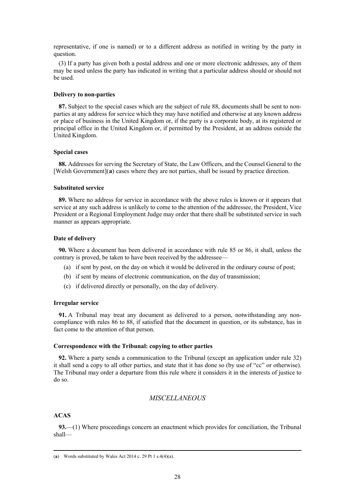representative, if one is named) or to a different address as notified in writing by the party in question.

(3) If a party has given both a postal address and one or more electronic addresses, any of them may be used unless the party has indicated in writing that a particular address should or should not be used.

#### <span id="page-27-0"></span>**Delivery to non-parties**

**87.** Subject to the special cases which are the subject of rule 88, documents shall be sent to nonparties at any address for service which they may have notified and otherwise at any known address or place of business in the United Kingdom or, if the party is a corporate body, at its registered or principal office in the United Kingdom or, if permitted by the President, at an address outside the United Kingdom.

#### <span id="page-27-1"></span>**Special cases**

**88.** Addresses for serving the Secretary of State, the Law Officers, and the Counsel General to the [Welsh Government](**[a](#page-27-7)**) cases where they are not parties, shall be issued by practice direction.

#### <span id="page-27-2"></span>**Substituted service**

**89.** Where no address for service in accordance with the above rules is known or it appears that service at any such address is unlikely to come to the attention of the addressee, the President, Vice President or a Regional Employment Judge may order that there shall be substituted service in such manner as appears appropriate.

#### <span id="page-27-3"></span>**Date of delivery**

**90.** Where a document has been delivered in accordance with rule 85 or 86, it shall, unless the contrary is proved, be taken to have been received by the addressee—

- (a) if sent by post, on the day on which it would be delivered in the ordinary course of post;
- (b) if sent by means of electronic communication, on the day of transmission;
- (c) if delivered directly or personally, on the day of delivery.

#### <span id="page-27-4"></span>**Irregular service**

**91.** A Tribunal may treat any document as delivered to a person, notwithstanding any noncompliance with rules 86 to 88, if satisfied that the document in question, or its substance, has in fact come to the attention of that person.

#### <span id="page-27-5"></span>**Correspondence with the Tribunal: copying to other parties**

**92.** Where a party sends a communication to the Tribunal (except an application under rule 32) it shall send a copy to all other parties, and state that it has done so (by use of "cc" or otherwise). The Tribunal may order a departure from this rule where it considers it in the interests of justice to do so.

#### *MISCELLANEOUS*

#### <span id="page-27-6"></span>**ACAS**

**93.**—(1) Where proceedings concern an enactment which provides for conciliation, the Tribunal shall—

<span id="page-27-7"></span><sup>(</sup>**a**) Words substituted by Wales Act 2014 c. 29 Pt 1 s.4(4)(a).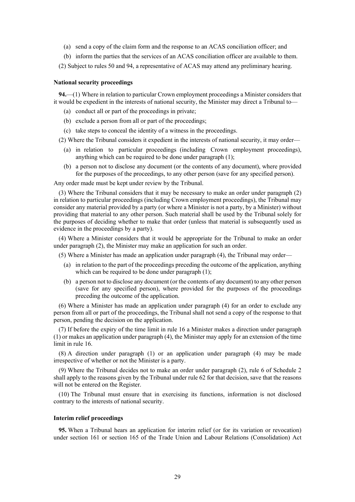- (a) send a copy of the claim form and the response to an ACAS conciliation officer; and
- (b) inform the parties that the services of an ACAS conciliation officer are available to them.

<span id="page-28-0"></span>(2) Subject to rules 50 and 94, a representative of ACAS may attend any preliminary hearing.

#### **National security proceedings**

**94.**—(1) Where in relation to particular Crown employment proceedings a Minister considers that it would be expedient in the interests of national security, the Minister may direct a Tribunal to—

- (a) conduct all or part of the proceedings in private;
- (b) exclude a person from all or part of the proceedings;
- (c) take steps to conceal the identity of a witness in the proceedings.

(2) Where the Tribunal considers it expedient in the interests of national security, it may order—

- (a) in relation to particular proceedings (including Crown employment proceedings), anything which can be required to be done under paragraph (1);
- (b) a person not to disclose any document (or the contents of any document), where provided for the purposes of the proceedings, to any other person (save for any specified person).

Any order made must be kept under review by the Tribunal.

(3) Where the Tribunal considers that it may be necessary to make an order under paragraph (2) in relation to particular proceedings (including Crown employment proceedings), the Tribunal may consider any material provided by a party (or where a Minister is not a party, by a Minister) without providing that material to any other person. Such material shall be used by the Tribunal solely for the purposes of deciding whether to make that order (unless that material is subsequently used as evidence in the proceedings by a party).

(4) Where a Minister considers that it would be appropriate for the Tribunal to make an order under paragraph (2), the Minister may make an application for such an order.

(5) Where a Minister has made an application under paragraph (4), the Tribunal may order—

- (a) in relation to the part of the proceedings preceding the outcome of the application, anything which can be required to be done under paragraph (1);
- (b) a person not to disclose any document (or the contents of any document) to any other person (save for any specified person), where provided for the purposes of the proceedings preceding the outcome of the application.

(6) Where a Minister has made an application under paragraph (4) for an order to exclude any person from all or part of the proceedings, the Tribunal shall not send a copy of the response to that person, pending the decision on the application.

(7) If before the expiry of the time limit in rule 16 a Minister makes a direction under paragraph (1) or makes an application under paragraph (4), the Minister may apply for an extension of the time limit in rule 16.

(8) A direction under paragraph (1) or an application under paragraph (4) may be made irrespective of whether or not the Minister is a party.

(9) Where the Tribunal decides not to make an order under paragraph (2), rule 6 of Schedule 2 shall apply to the reasons given by the Tribunal under rule 62 for that decision, save that the reasons will not be entered on the Register.

(10) The Tribunal must ensure that in exercising its functions, information is not disclosed contrary to the interests of national security.

#### <span id="page-28-1"></span>**Interim relief proceedings**

**95.** When a Tribunal hears an application for interim relief (or for its variation or revocation) under section 161 or section 165 of the Trade Union and Labour Relations (Consolidation) Act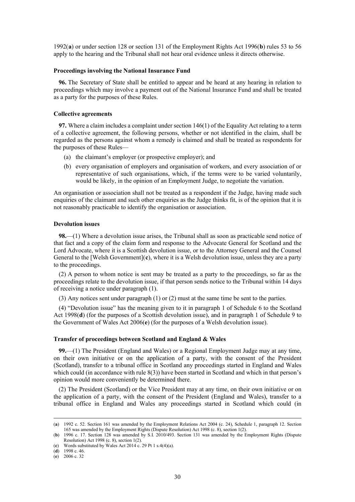1992(**[a](#page-29-4)**) or under section 128 or section 131 of the Employment Rights Act 1996(**[b](#page-29-5)**) rules 53 to 56 apply to the hearing and the Tribunal shall not hear oral evidence unless it directs otherwise.

#### <span id="page-29-0"></span>**Proceedings involving the National Insurance Fund**

**96.** The Secretary of State shall be entitled to appear and be heard at any hearing in relation to proceedings which may involve a payment out of the National Insurance Fund and shall be treated as a party for the purposes of these Rules.

#### <span id="page-29-1"></span>**Collective agreements**

**97.** Where a claim includes a complaint under section 146(1) of the Equality Act relating to a term of a collective agreement, the following persons, whether or not identified in the claim, shall be regarded as the persons against whom a remedy is claimed and shall be treated as respondents for the purposes of these Rules—

- (a) the claimant's employer (or prospective employer); and
- (b) every organisation of employers and organisation of workers, and every association of or representative of such organisations, which, if the terms were to be varied voluntarily, would be likely, in the opinion of an Employment Judge, to negotiate the variation.

An organisation or association shall not be treated as a respondent if the Judge, having made such enquiries of the claimant and such other enquiries as the Judge thinks fit, is of the opinion that it is not reasonably practicable to identify the organisation or association.

#### <span id="page-29-2"></span>**Devolution issues**

**98.**—(1) Where a devolution issue arises, the Tribunal shall as soon as practicable send notice of that fact and a copy of the claim form and response to the Advocate General for Scotland and the Lord Advocate, where it is a Scottish devolution issue, or to the Attorney General and the Counsel General to the [Welsh Government](**[c](#page-29-6)**), where it is a Welsh devolution issue, unless they are a party to the proceedings.

(2) A person to whom notice is sent may be treated as a party to the proceedings, so far as the proceedings relate to the devolution issue, if that person sends notice to the Tribunal within 14 days of receiving a notice under paragraph (1).

(3) Any notices sent under paragraph (1) or (2) must at the same time be sent to the parties.

(4) "Devolution issue" has the meaning given to it in paragraph 1 of Schedule 6 to the Scotland Act 1998(**[d](#page-29-7)**) (for the purposes of a Scottish devolution issue), and in paragraph 1 of Schedule 9 to the Government of Wales Act 2006(**[e](#page-29-8)**) (for the purposes of a Welsh devolution issue).

#### <span id="page-29-3"></span>**Transfer of proceedings between Scotland and England & Wales**

**99.**—(1) The President (England and Wales) or a Regional Employment Judge may at any time, on their own initiative or on the application of a party, with the consent of the President (Scotland), transfer to a tribunal office in Scotland any proceedings started in England and Wales which could (in accordance with rule 8(3)) have been started in Scotland and which in that person's opinion would more conveniently be determined there.

(2) The President (Scotland) or the Vice President may at any time, on their own initiative or on the application of a party, with the consent of the President (England and Wales), transfer to a tribunal office in England and Wales any proceedings started in Scotland which could (in

<span id="page-29-7"></span>(**d**) 1998 c. 46.

<span id="page-29-4"></span><sup>(</sup>**a**) 1992 c. 52. Section 161 was amended by the Employment Relations Act 2004 (c. 24), Schedule 1, paragraph 12. Section 165 was amended by the Employment Rights (Dispute Resolution) Act 1998 (c. 8), section 1(2).

<span id="page-29-5"></span><sup>(</sup>**b**) 1996 c. 17. Section 128 was amended by S.I. 2010/493. Section 131 was amended by the Employment Rights (Dispute Resolution) Act 1998 (c. 8), section 1(2).

<span id="page-29-6"></span><sup>(</sup>**c**) Words substituted by Wales Act 2014 c. 29 Pt 1 s.4(4)(a).

<span id="page-29-8"></span><sup>(</sup>**e**) 2006 c. 32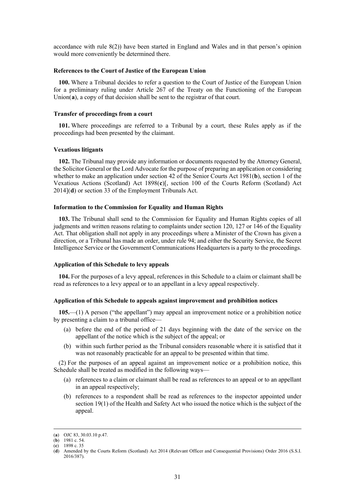accordance with rule 8(2)) have been started in England and Wales and in that person's opinion would more conveniently be determined there.

#### <span id="page-30-0"></span>**References to the Court of Justice of the European Union**

**100.** Where a Tribunal decides to refer a question to the Court of Justice of the European Union for a preliminary ruling under Article 267 of the Treaty on the Functioning of the European Union(**[a](#page-30-6)**), a copy of that decision shall be sent to the registrar of that court.

#### <span id="page-30-1"></span>**Transfer of proceedings from a court**

**101.** Where proceedings are referred to a Tribunal by a court, these Rules apply as if the proceedings had been presented by the claimant.

#### <span id="page-30-2"></span>**Vexatious litigants**

**102.** The Tribunal may provide any information or documents requested by the Attorney General, the Solicitor General or the Lord Advocate for the purpose of preparing an application or considering whether to make an application under section 42 of the Senior Courts Act 1981(**[b](#page-30-7)**), section 1 of the Vexatious Actions (Scotland) Act 1898(**[c](#page-30-8)**)[, section 100 of the Courts Reform (Scotland) Act 2014](**[d](#page-30-9)**) or section 33 of the Employment Tribunals Act.

#### <span id="page-30-3"></span>**Information to the Commission for Equality and Human Rights**

**103.** The Tribunal shall send to the Commission for Equality and Human Rights copies of all judgments and written reasons relating to complaints under section 120, 127 or 146 of the Equality Act. That obligation shall not apply in any proceedings where a Minister of the Crown has given a direction, or a Tribunal has made an order, under rule 94; and either the Security Service, the Secret Intelligence Service or the Government Communications Headquarters is a party to the proceedings.

#### <span id="page-30-4"></span>**Application of this Schedule to levy appeals**

**104.** For the purposes of a levy appeal, references in this Schedule to a claim or claimant shall be read as references to a levy appeal or to an appellant in a levy appeal respectively.

#### <span id="page-30-5"></span>**Application of this Schedule to appeals against improvement and prohibition notices**

**105.**—(1) A person ("the appellant") may appeal an improvement notice or a prohibition notice by presenting a claim to a tribunal office—

- (a) before the end of the period of 21 days beginning with the date of the service on the appellant of the notice which is the subject of the appeal; or
- (b) within such further period as the Tribunal considers reasonable where it is satisfied that it was not reasonably practicable for an appeal to be presented within that time.

(2) For the purposes of an appeal against an improvement notice or a prohibition notice, this Schedule shall be treated as modified in the following ways—

- (a) references to a claim or claimant shall be read as references to an appeal or to an appellant in an appeal respectively;
- (b) references to a respondent shall be read as references to the inspector appointed under section 19(1) of the Health and Safety Act who issued the notice which is the subject of the appeal.

<span id="page-30-6"></span><sup>(</sup>**a**) OJC 83, 30.03.10 p.47.

<span id="page-30-7"></span><sup>(</sup>**b**) 1981 c. 54.

<span id="page-30-8"></span><sup>(</sup>**c**) 1898 c. 35

<span id="page-30-9"></span><sup>(</sup>**d**) Amended by the Courts Reform (Scotland) Act 2014 (Relevant Officer and Consequential Provisions) Order 2016 (S.S.I. 2016/387).